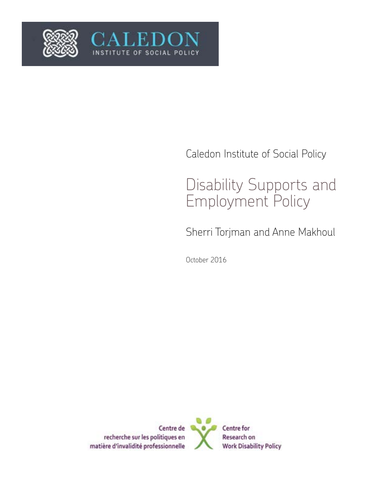

# Caledon Institute of Social Policy

# Disability Supports and Employment Policy

Sherri Torjman and Anne Makhoul

October 2016

OF SOCIAL POLI

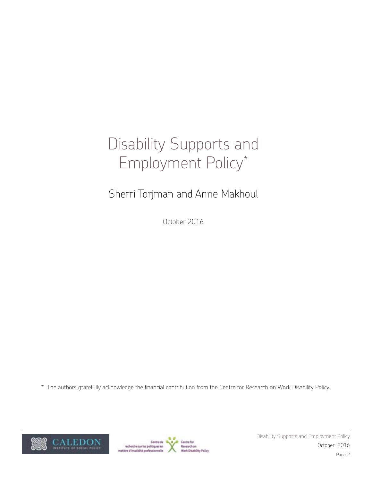# Disability Supports and Employment Policy\*

# Sherri Torjman and Anne Makhoul

October 2016

\* The authors gratefully acknowledge the financial contribution from the Centre for Research on Work Disability Policy.



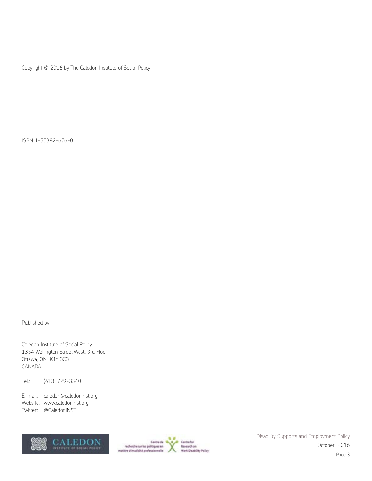Copyright © 2016 by The Caledon Institute of Social Policy

ISBN 1-55382-676-0

Published by:

Caledon Institute of Social Policy 1354 Wellington Street West, 3rd Floor Ottawa, ON K1Y 3C3 CANADA

Tel.: (613) 729-3340

E-mail: caledon@caledoninst.org Website: www.caledoninst.org Twitter: @CaledonINST



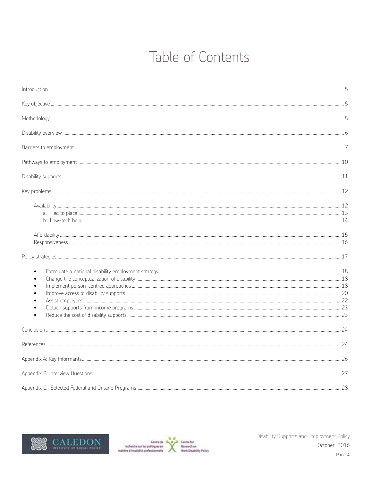# Table of Contents

| $\bullet$<br>$\bullet$<br>$\bullet$<br>$\bullet$ |  |
|--------------------------------------------------|--|
|                                                  |  |
|                                                  |  |
|                                                  |  |
|                                                  |  |
|                                                  |  |



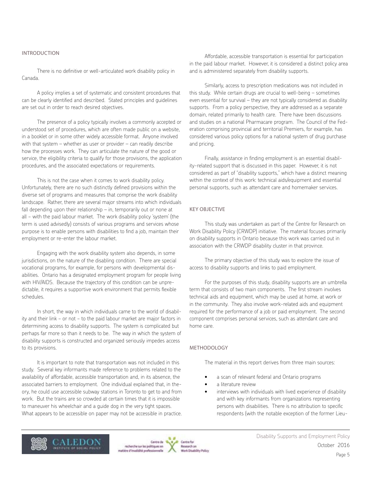## INTRODUCTION

There is no definitive or well-articulated work disability policy in Canada.

A policy implies a set of systematic and consistent procedures that can be clearly identified and described. Stated principles and guidelines are set out in order to reach desired objectives.

The presence of a policy typically involves a commonly accepted or understood set of procedures, which are often made public on a website, in a booklet or in some other widely accessible format. Anyone involved with that system – whether as user or provider – can readily describe how the processes work. They can articulate the nature of the good or service, the eligibility criteria to qualify for those provisions, the application procedures, and the associated expectations or requirements.

This is not the case when it comes to work disability policy. Unfortunately, there are no such distinctly defined provisions within the diverse set of programs and measures that comprise the work disability landscape. Rather, there are several major streams into which individuals fall depending upon their relationship – in, temporarily out or none at all − with the paid labour market. The work disability policy 'system' (the term is used advisedly) consists of various programs and services whose purpose is to enable persons with disabilities to find a job, maintain their employment or re-enter the labour market.

Engaging with the work disability system also depends, in some jurisdictions, on the nature of the disabling condition. There are special vocational programs, for example, for persons with developmental disabilities. Ontario has a designated employment program for people living with HIV/AIDS. Because the trajectory of this condition can be unpredictable, it requires a supportive work environment that permits flexible schedules.

In short, the way in which individuals came to the world of disability and their link − or not − to the paid labour market are major factors in determining access to disability supports. The system is complicated but perhaps far more so than it needs to be. The way in which the system of disability supports is constructed and organized seriously impedes access to its provisions.

It is important to note that transportation was not included in this study. Several key informants made reference to problems related to the availability of affordable, accessible transportation and, in its absence, the associated barriers to employment. One individual explained that, in theory, he could use accessible subway stations in Toronto to get to and from work. But the trains are so crowded at certain times that it is impossible to maneuver his wheelchair and a guide dog in the very tight spaces. What appears to be accessible on paper may not be accessible in practice.

Affordable, accessible transportation is essential for participation in the paid labour market. However, it is considered a distinct policy area and is administered separately from disability supports.

Similarly, access to prescription medications was not included in this study. While certain drugs are crucial to well-being – sometimes even essential for survival – they are not typically considered as disability supports. From a policy perspective, they are addressed as a separate domain, related primarily to health care. There have been discussions and studies on a national Pharmacare program. The Council of the Federation comprising provincial and territorial Premiers, for example, has considered various policy options for a national system of drug purchase and pricing.

Finally, assistance in finding employment is an essential disability-related support that is discussed in this paper. However, it is not considered as part of "disability supports," which have a distinct meaning within the context of this work: technical aids/equipment and essential personal supports, such as attendant care and homemaker services.

#### KEY OBJECTIVE

This study was undertaken as part of the Centre for Research on Work Disability Policy (CRWDP) initiative. The material focuses primarily on disability supports in Ontario because this work was carried out in association with the CRWDP disability cluster in that province.

The primary objective of this study was to explore the issue of access to disability supports and links to paid employment.

For the purposes of this study, disability supports are an umbrella term that consists of two main components. The first stream involves technical aids and equipment, which may be used at home, at work or in the community. They also involve work-related aids and equipment required for the performance of a job or paid employment. The second component comprises personal services, such as attendant care and home care.

#### METHODOLOGY

The material in this report derives from three main sources:

- a scan of relevant federal and Ontario programs
- a literature review
- interviews with individuals with lived experience of disability and with key informants from organizations representing persons with disabilities. There is no attribution to specific respondents (with the notable exception of the former Lieu-





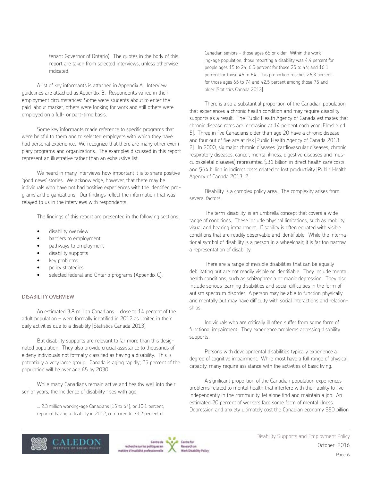tenant Governor of Ontario). The quotes in the body of this report are taken from selected interviews, unless otherwise indicated.

A list of key informants is attached in Appendix A. Interview guidelines are attached as Appendix B. Respondents varied in their employment circumstances: Some were students about to enter the paid labour market, others were looking for work and still others were employed on a full- or part-time basis.

Some key informants made reference to specific programs that were helpful to them and to selected employers with which they have had personal experience. We recognize that there are many other exemplary programs and organizations. The examples discussed in this report represent an illustrative rather than an exhaustive list.

We heard in many interviews how important it is to share positive 'good news' stories. We acknowledge, however, that there may be individuals who have not had positive experiences with the identified programs and organizations. Our findings reflect the information that was relayed to us in the interviews with respondents.

The findings of this report are presented in the following sections:

- disability overview
- barriers to employment
- pathways to employment
- disability supports
- key problems
- policy strategies
- selected federal and Ontario programs (Appendix C).

#### DISABILITY OVERVIEW

An estimated 3.8 million Canadians - close to 14 percent of the adult population – were formally identified in 2012 as limited in their daily activities due to a disability [Statistics Canada 2013].

But disability supports are relevant to far more than this designated population. They also provide crucial assistance to thousands of elderly individuals not formally classified as having a disability. This is potentially a very large group. Canada is aging rapidly; 25 percent of the population will be over age 65 by 2030.

While many Canadians remain active and healthy well into their senior years, the incidence of disability rises with age:

… 2.3 million working-age Canadians (15 to 64), or 10.1 percent, reported having a disability in 2012, compared to 33.2 percent of

Canadian seniors − those ages 65 or older. Within the working-age population, those reporting a disability was 4.4 percent for people ages 15 to 24; 6.5 percent for those 25 to 44; and 16.1 percent for those 45 to 64. This proportion reaches 26.3 percent for those ages 65 to 74 and 42.5 percent among those 75 and older [Statistics Canada 2013].

There is also a substantial proportion of the Canadian population that experiences a chronic health condition and may require disability supports as a result. The Public Health Agency of Canada estimates that chronic disease rates are increasing at 14 percent each year [Elmslie nd: 5]. Three in five Canadians older than age 20 have a chronic disease and four out of five are at risk [Public Health Agency of Canada 2013: 2]. In 2000, six major chronic diseases (cardiovascular diseases, chronic respiratory diseases, cancer, mental illness, digestive diseases and musculoskeletal diseases) represented \$31 billion in direct health care costs and \$64 billion in indirect costs related to lost productivity [Public Health Agency of Canada 2013: 2].

Disability is a complex policy area. The complexity arises from several factors.

The term 'disability' is an umbrella concept that covers a wide range of conditions. These include physical limitations, such as mobility, visual and hearing impairment. Disability is often equated with visible conditions that are readily observable and identifiable. While the international symbol of disability is a person in a wheelchair, it is far too narrow a representation of disability.

There are a range of invisible disabilities that can be equally debilitating but are not readily visible or identifiable. They include mental health conditions, such as schizophrenia or manic depression. They also include serious learning disabilities and social difficulties in the form of autism spectrum disorder. A person may be able to function physically and mentally but may have difficulty with social interactions and relationships.

Individuals who are critically ill often suffer from some form of functional impairment. They experience problems accessing disability supports.

Persons with developmental disabilities typically experience a degree of cognitive impairment. While most have a full range of physical capacity, many require assistance with the activities of basic living.

A significant proportion of the Canadian population experiences problems related to mental health that interfere with their ability to live independently in the community, let alone find and maintain a job. An estimated 20 percent of workers face some form of mental illness. Depression and anxiety ultimately cost the Canadian economy \$50 billion



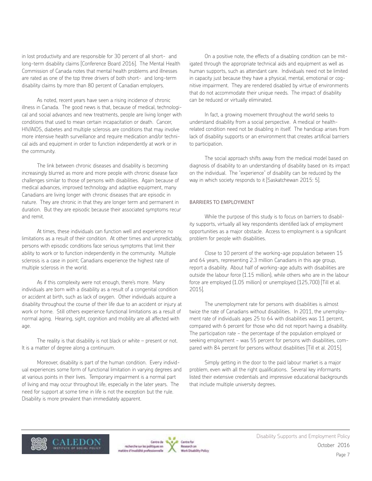in lost productivity and are responsible for 30 percent of all short- and long-term disability claims [Conference Board 2016]. The Mental Health Commission of Canada notes that mental health problems and illnesses are rated as one of the top three drivers of both short- and long-term disability claims by more than 80 percent of Canadian employers.

As noted, recent years have seen a rising incidence of chronic illness in Canada. The good news is that, because of medical, technological and social advances and new treatments, people are living longer with conditions that used to mean certain incapacitation or death. Cancer, HIV/AIDS, diabetes and multiple sclerosis are conditions that may involve more intensive health surveillance and require medication and/or technical aids and equipment in order to function independently at work or in the community.

The link between chronic diseases and disability is becoming increasingly blurred as more and more people with chronic disease face challenges similar to those of persons with disabilities. Again because of medical advances, improved technology and adaptive equipment, many Canadians are living longer with chronic diseases that are episodic in nature. They are chronic in that they are longer term and permanent in duration. But they are episodic because their associated symptoms recur and remit.

At times, these individuals can function well and experience no limitations as a result of their condition. At other times and unpredictably, persons with episodic conditions face serious symptoms that limit their ability to work or to function independently in the community. Multiple sclerosis is a case in point; Canadians experience the highest rate of multiple sclerosis in the world.

As if this complexity were not enough, there's more. Many individuals are born with a disability as a result of a congenital condition or accident at birth, such as lack of oxygen. Other individuals acquire a disability throughout the course of their life due to an accident or injury at work or home. Still others experience functional limitations as a result of normal aging. Hearing, sight, cognition and mobility are all affected with age.

The reality is that disability is not black or white – present or not. It is a matter of degree along a continuum.

Moreover, disability is part of the human condition. Every individual experiences some form of functional limitation in varying degrees and at various points in their lives. Temporary impairment is a normal part of living and may occur throughout life, especially in the later years. The need for support at some time in life is not the exception but the rule. Disability is more prevalent than immediately apparent.

On a positive note, the effects of a disabling condition can be mitigated through the appropriate technical aids and equipment as well as human supports, such as attendant care. Individuals need not be limited in capacity just because they have a physical, mental, emotional or cognitive impairment. They are rendered disabled by virtue of environments that do not accommodate their unique needs. The impact of disability can be reduced or virtually eliminated.

In fact, a growing movement throughout the world seeks to understand disability from a social perspective. A medical or healthrelated condition need not be disabling in itself. The handicap arises from lack of disability supports or an environment that creates artificial barriers to participation.

The social approach shifts away from the medical model based on diagnosis of disability to an understanding of disability based on its impact on the individual. The "experience" of disability can be reduced by the way in which society responds to it [Saskatchewan 2015: 5].

#### BARRIERS TO EMPLOYMENT

While the purpose of this study is to focus on barriers to disability supports, virtually all key respondents identified lack of employment opportunities as a major obstacle. Access to employment is a significant problem for people with disabilities.

Close to 10 percent of the working-age population between 15 and 64 years, representing 2.3 million Canadians in this age group, report a disability. About half of working-age adults with disabilities are outside the labour force (1.15 million), while others who are in the labour force are employed (1.05 million) or unemployed (125,700) [Till et al. 2015].

The unemployment rate for persons with disabilities is almost twice the rate of Canadians without disabilities. In 2011, the unemployment rate of individuals ages 25 to 64 with disabilities was 11 percent, compared with 6 percent for those who did not report having a disability. The participation rate − the percentage of the population employed or seeking employment − was 55 percent for persons with disabilities, compared with 84 percent for persons without disabilities [Till et al. 2015].

Simply getting in the door to the paid labour market is a major problem, even with all the right qualifications. Several key informants listed their extensive credentials and impressive educational backgrounds that include multiple university degrees.



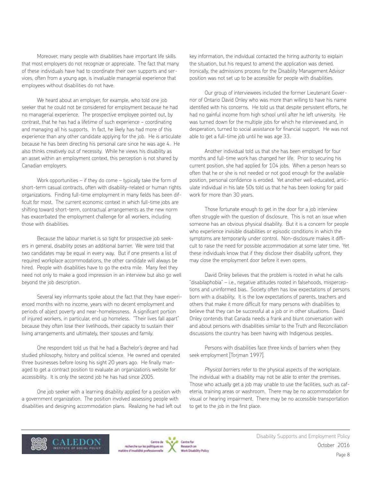Moreover, many people with disabilities have important life skills that most employers do not recognize or appreciate. The fact that many of these individuals have had to coordinate their own supports and services, often from a young age, is invaluable managerial experience that employees without disabilities do not have.

We heard about an employer, for example, who told one job seeker that he could not be considered for employment because he had no managerial experience. The prospective employee pointed out, by contrast, that he has had a lifetime of such experience − coordinating and managing all his supports. In fact, he likely has had more of this experience than any other candidate applying for the job. He is articulate because he has been directing his personal care since he was age 4. He also thinks creatively out of necessity. While he views his disability as an asset within an employment context, this perception is not shared by Canadian employers.

Work opportunities – if they do come – typically take the form of short-term casual contracts, often with disability-related or human rights organizations. Finding full-time employment in many fields has been difficult for most. The current economic context in which full-time jobs are shifting toward short-term, contractual arrangements as the new norm has exacerbated the employment challenge for all workers, including those with disabilities.

Because the labour market is so tight for prospective job seekers in general, disability poses an additional barrier. We were told that two candidates may be equal in every way. But if one presents a list of required workplace accommodations, the other candidate will always be hired. People with disabilities have to go the extra mile. Many feel they need not only to make a good impression in an interview but also go well beyond the job description.

Several key informants spoke about the fact that they have experienced months with no income, years with no decent employment and periods of abject poverty and near-homelessness. A significant portion of injured workers, in particular, end up homeless. "Their lives fall apart" because they often lose their livelihoods, their capacity to sustain their living arrangements and ultimately, their spouses and family.

One respondent told us that he had a Bachelor's degree and had studied philosophy, history and political science. He owned and operated three businesses before losing his sight 20 years ago. He finally managed to get a contract position to evaluate an organization's website for accessibility. It is only the second job he has had since 2005.

One job seeker with a learning disability applied for a position with a government organization. The position involved assessing people with disabilities and designing accommodation plans. Realizing he had left out

key information, the individual contacted the hiring authority to explain the situation, but his request to amend the application was denied. Ironically, the admissions process for the Disability Management Advisor position was not set up to be accessible for people with disabilities.

Our group of interviewees included the former Lieutenant Governor of Ontario David Onley who was more than willing to have his name identified with his concerns. He told us that despite persistent efforts, he had no gainful income from high school until after he left university. He was turned down for the multiple jobs for which he interviewed and, in desperation, turned to social assistance for financial support. He was not able to get a full-time job until he was age 33.

Another individual told us that she has been employed for four months and full-time work has changed her life. Prior to securing his current position, she had applied for 104 jobs. When a person hears so often that he or she is not needed or not good enough for the available position, personal confidence is eroded. Yet another well-educated, articulate individual in his late 50s told us that he has been looking for paid work for more than 30 years.

Those fortunate enough to get in the door for a job interview often struggle with the question of disclosure. This is not an issue when someone has an obvious physical disability. But it is a concern for people who experience invisible disabilities or episodic conditions in which the symptoms are temporarily under control. Non-disclosure makes it difficult to raise the need for possible accommodation at some later time. Yet these individuals know that if they disclose their disability upfront, they may close the employment door before it even opens.

David Onley believes that the problem is rooted in what he calls "disabilaphobia" – i.e., negative attitudes rooted in falsehoods, misperceptions and uninformed bias. Society often has low expectations of persons born with a disability. It is the low expectations of parents, teachers and others that make it more difficult for many persons with disabilities to believe that they can be successful at a job or in other situations. David Onley contends that Canada needs a frank and blunt conversation with and about persons with disabilities similar to the Truth and Reconciliation discussions the country has been having with Indigenous peoples.

Persons with disabilities face three kinds of barriers when they seek employment [Torjman 1997].

*Physical barriers* refer to the physical aspects of the workplace. The individual with a disability may not be able to enter the premises. Those who actually get a job may unable to use the facilities, such as cafeteria, training areas or washroom. There may be no accommodation for visual or hearing impairment. There may be no accessible transportation to get to the job in the first place.





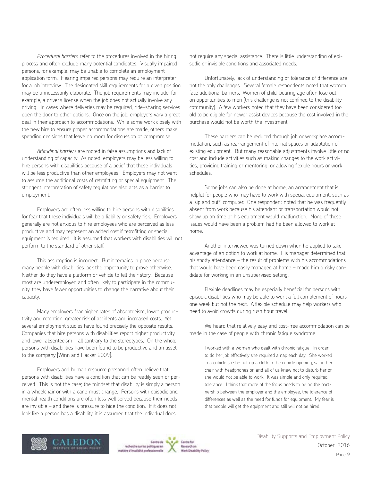*Procedural barriers* refer to the procedures involved in the hiring process and often exclude many potential candidates. Visually impaired persons, for example, may be unable to complete an employment application form. Hearing impaired persons may require an interpreter for a job interview. The designated skill requirements for a given position may be unnecessarily elaborate. The job requirements may include, for example, a driver's license when the job does not actually involve any driving. In cases where deliveries may be required, ride-sharing services open the door to other options. Once on the job, employers vary a great deal in their approach to accommodations. While some work closely with the new hire to ensure proper accommodations are made, others make spending decisions that leave no room for discussion or compromise.

*Attitudinal barriers* are rooted in false assumptions and lack of understanding of capacity. As noted, employers may be less willing to hire persons with disabilities because of a belief that these individuals will be less productive than other employees. Employers may not want to assume the additional costs of retrofitting or special equipment. The stringent interpretation of safety regulations also acts as a barrier to employment.

Employers are often less willing to hire persons with disabilities for fear that these individuals will be a liability or safety risk. Employers generally are not anxious to hire employees who are perceived as less productive and may represent an added cost if retrofitting or special equipment is required. It is assumed that workers with disabilities will not perform to the standard of other staff.

This assumption is incorrect. But it remains in place because many people with disabilities lack the opportunity to prove otherwise. Neither do they have a platform or vehicle to tell their story. Because most are underemployed and often likely to participate in the community, they have fewer opportunities to change the narrative about their capacity.

Many employers fear higher rates of absenteeism, lower productivity and retention, greater risk of accidents and increased costs. Yet several employment studies have found precisely the opposite results. Companies that hire persons with disabilities report higher productivity and lower absenteeism − all contrary to the stereotypes. On the whole, persons with disabilities have been found to be productive and an asset to the company [Winn and Hacker 2009].

Employers and human resource personnel often believe that persons with disabilities have a condition that can be readily seen or perceived. This is not the case; the mindset that disability is simply a person in a wheelchair or with a cane must change. Persons with episodic and mental health conditions are often less well served because their needs are invisible – and there is pressure to hide the condition. If it does not look like a person has a disability, it is assumed that the individual does

not require any special assistance. There is little understanding of episodic or invisible conditions and associated needs.

Unfortunately, lack of understanding or tolerance of difference are not the only challenges. Several female respondents noted that women face additional barriers. Women of child-bearing age often lose out on opportunities to men (this challenge is not confined to the disability community). A few workers noted that they have been considered too old to be eligible for newer assist devices because the cost involved in the purchase would not be worth the investment.

These barriers can be reduced through job or workplace accommodation, such as rearrangement of internal spaces or adaptation of existing equipment. But many reasonable adjustments involve little or no cost and include activities such as making changes to the work activities, providing training or mentoring, or allowing flexible hours or work schedules.

Some jobs can also be done at home, an arrangement that is helpful for people who may have to work with special equipment, such as a 'sip and puff' computer. One respondent noted that he was frequently absent from work because his attendant or transportation would not show up on time or his equipment would malfunction. None of these issues would have been a problem had he been allowed to work at home.

Another interviewee was turned down when he applied to take advantage of an option to work at home. His manager determined that his spotty attendance – the result of problems with his accommodations that would have been easily managed at home – made him a risky candidate for working in an unsupervised setting.

Flexible deadlines may be especially beneficial for persons with episodic disabilities who may be able to work a full complement of hours one week but not the next. A flexible schedule may help workers who need to avoid crowds during rush hour travel.

We heard that relatively easy and cost-free accommodation can be made in the case of people with chronic fatigue syndrome.

I worked with a women who dealt with chronic fatigue. In order to do her job effectively she required a nap each day. She worked in a cubicle so she put up a cloth in the cubicle opening, sat in her chair with headphones on and all of us knew not to disturb her or she would not be able to work. It was simple and only required tolerance. I think that more of the focus needs to be on the partnership between the employer and the employee, the tolerance of differences as well as the need for funds for equipment. My fear is that people will get the equipment and still will not be hired.



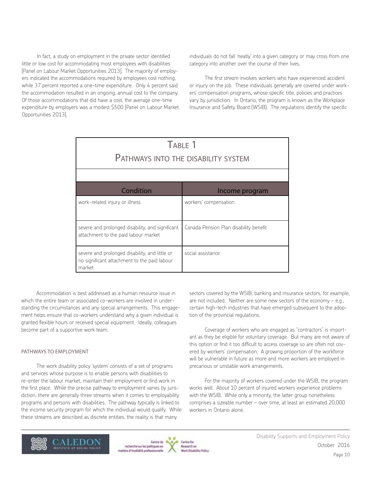In fact, a study on employment in the private sector identified little or low cost for accommodating most employees with disabilities [Panel on Labour Market Opportunities 2013]. The majority of employers indicated the accommodations required by employees cost nothing, while 37 percent reported a one-time expenditure. Only 4 percent said the accommodation resulted in an ongoing, annual cost to the company. Of those accommodations that did have a cost, the average one-time expenditure by employers was a modest \$500 [Panel on Labour Market Opportunities 2013].

individuals do not fall 'neatly' into a given category or may cross from one category into another over the course of their lives.

The *first stream* involves workers who have experienced accident or injury on the job. These individuals generally are covered under workers' compensation programs, whose specific title, policies and practices vary by jurisdiction. In Ontario, the program is known as the Workplace Insurance and Safety Board (WSIB). The regulations identify the specific

| TABLE 1<br>PATHWAYS INTO THE DISABILITY SYSTEM                                                           |                                        |  |
|----------------------------------------------------------------------------------------------------------|----------------------------------------|--|
| Condition                                                                                                | Income program                         |  |
| work-related injury or illness                                                                           | workers' compensation                  |  |
| severe and prolonged disability, and significant<br>attachment to the paid labour market                 | Canada Pension Plan disability benefit |  |
| severe and prolonged disability, and little or<br>no significant attachment to the paid labour<br>market | social assistance                      |  |

Accommodation is best addressed as a human resource issue in which the entire team or associated co-workers are involved in understanding the circumstances and any special arrangements. This engagement helps ensure that co-workers understand why a given individual is granted flexible hours or received special equipment. Ideally, colleagues become part of a supportive work team.

#### PATHWAYS TO EMPLOYMENT

The work disability policy 'system' consists of a set of programs and services whose purpose is to enable persons with disabilities to re-enter the labour market, maintain their employment or find work in the first place. While the precise pathway to employment varies by jurisdiction, there are generally three streams when it comes to employability programs and persons with disabilities. The pathway typically is linked to the income security program for which the individual would qualify. While these streams are described as discrete entities, the reality is that many

sectors covered by the WSIB; banking and insurance sectors, for example, are not included. Neither are some new sectors of the economy – e.g., certain high-tech industries that have emerged subsequent to the adoption of the provincial regulations.

Coverage of workers who are engaged as "contractors" is important as they be eligible for voluntary coverage. But many are not aware of this option or find it too difficult to access coverage so are often not covered by workers' compensation. A growing proportion of the workforce will be vulnerable in future as more and more workers are employed in precarious or unstable work arrangements.

For the majority of workers covered under the WSIB, the program works well. About 10 percent of injured workers experience problems with the WSIB. While only a minority, the latter group nonetheless comprises a sizeable number – over time, at least an estimated 20,000 workers in Ontario alone.





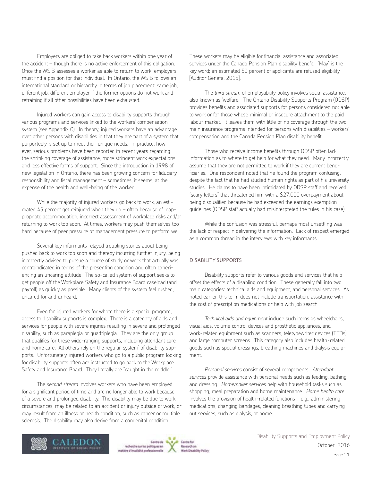Employers are obliged to take back workers within one year of the accident – though there is no active enforcement of this obligation. Once the WSIB assesses a worker as able to return to work, employers must find a position for that individual. In Ontario, the WSIB follows an international standard or hierarchy in terms of job placement: same job, different job, different employer if the former options do not work and retraining if all other possibilities have been exhausted.

Injured workers can gain access to disability supports through various programs and services linked to the workers' compensation system (see Appendix C). In theory, injured workers have an advantage over other persons with disabilities in that they are part of a system that purportedly is set up to meet their unique needs. In practice, however, serious problems have been reported in recent years regarding the shrinking coverage of assistance, more stringent work expectations and less effective forms of support. Since the introduction in 1998 of new legislation in Ontario, there has been growing concern for fiduciary responsibility and fiscal management – sometimes, it seems, at the expense of the health and well-being of the worker.

While the majority of injured workers go back to work, an estimated 45 percent get reinjured when they do – often because of inappropriate accommodation, incorrect assessment of workplace risks and/or returning to work too soon. At times, workers may push themselves too hard because of peer pressure or management pressure to perform well.

Several key informants relayed troubling stories about being pushed back to work too soon and thereby incurring further injury, being incorrectly advised to pursue a course of study or work that actually was contraindicated in terms of the presenting condition and often experiencing an uncaring attitude. The so-called system of support seeks to get people off the Workplace Safety and Insurance Board caseload (and payroll) as quickly as possible. Many clients of the system feel rushed, uncared for and unheard.

Even for injured workers for whom there is a special program, access to disability supports is complex. There is a category of aids and services for people with severe injuries resulting in severe and prolonged disability, such as paraplegia or quadriplegia. They are the only group that qualifies for these wide-ranging supports, including attendant care and home care. All others rely on the regular 'system' of disability supports. Unfortunately, injured workers who go to a public program looking for disability supports often are instructed to go back to the Workplace Safety and Insurance Board. They literally are "caught in the middle."

The *second stream* involves workers who have been employed for a significant period of time and are no longer able to work because of a severe and prolonged disability. The disability may be due to work circumstances, may be related to an accident or injury outside of work, or may result from an illness or health condition, such as cancer or multiple sclerosis. The disability may also derive from a congenital condition.

These workers may be eligible for financial assistance and associated services under the Canada Pension Plan disability benefit. "May" is the key word; an estimated 50 percent of applicants are refused eligibility [Auditor General 2015].

The *third stream* of employability policy involves social assistance, also known as 'welfare.' The Ontario Disability Supports Program (ODSP) provides benefits and associated supports for persons considered not able to work or for those whose minimal or insecure attachment to the paid labour market. It leaves them with little or no coverage through the two main insurance programs intended for persons with disabilities – workers' compensation and the Canada Pension Plan disability benefit.

Those who receive income benefits through ODSP often lack information as to where to get help for what they need. Many incorrectly assume that they are not permitted to work if they are current beneficiaries. One respondent noted that he found the program confusing, despite the fact that he had studied human rights as part of his university studies. He claims to have been intimidated by ODSP staff and received "scary letters" that threatened him with a \$27,000 overpayment about being disqualified because he had exceeded the earnings exemption guidelines (ODSP staff actually had misinterpreted the rules in his case).

While the confusion was stressful, perhaps most unsettling was the lack of respect in delivering the information. Lack of respect emerged as a common thread in the interviews with key informants.

#### DISABILITY SUPPORTS

Disability supports refer to various goods and services that help offset the effects of a disabling condition. These generally fall into two main categories: technical aids and equipment, and personal services. As noted earlier, this term does not include transportation, assistance with the cost of prescription medications or help with job search.

*Technical aids and equipment* include such items as wheelchairs, visual aids, volume control devices and prosthetic appliances, and work-related equipment such as scanners, teletypewriter devices (TTDs) and large computer screens. This category also includes health-related goods such as special dressings, breathing machines and dialysis equipment.

*Personal services* consist of several components. *Attendant services* provide assistance with personal needs such as feeding, bathing and dressing. *Homemaker services* help with household tasks such as shopping, meal preparation and home maintenance. *Home health care* involves the provision of health-related functions − e.g., administering medications, changing bandages, cleaning breathing tubes and carrying out services, such as dialysis, at home.





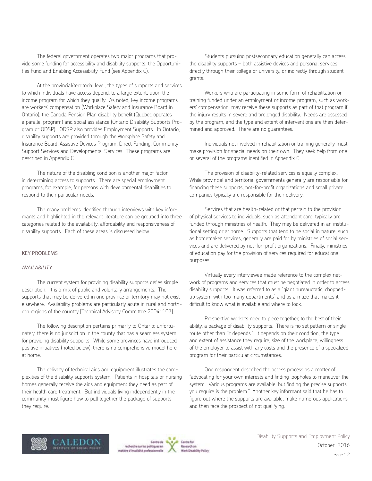The federal government operates two major programs that provide some funding for accessibility and disability supports: the Opportunities Fund and Enabling Accessibility Fund (see Appendix C).

At the provincial/territorial level, the types of supports and services to which individuals have access depend, to a large extent, upon the income program for which they qualify. As noted, key income programs are workers' compensation (Workplace Safety and Insurance Board in Ontario), the Canada Pension Plan disability benefit (Québec operates a parallel program) and social assistance (Ontario Disability Supports Program or ODSP). ODSP also provides Employment Supports. In Ontario, disability supports are provided through the Workplace Safety and Insurance Board, Assistive Devices Program, Direct Funding, Community Support Services and Developmental Services. These programs are described in Appendix C.

The nature of the disabling condition is another major factor in determining access to supports. There are special employment programs, for example, for persons with developmental disabilities to respond to their particular needs.

The many problems identified through interviews with key informants and highlighted in the relevant literature can be grouped into three categories related to the availability, affordability and responsiveness of disability supports. Each of these areas is discussed below.

#### KEY PROBLEMS

#### *AVAILABILITY*

The current system for providing disability supports defies simple description. It is a mix of public and voluntary arrangements. The supports that may be delivered in one province or territory may not exist elsewhere. Availability problems are particularly acute in rural and northern regions of the country [Technical Advisory Committee 2004: 107].

The following description pertains primarily to Ontario; unfortunately, there is no jurisdiction in the county that has a seamless system for providing disability supports. While some provinces have introduced positive initiatives (noted below), there is no comprehensive model here at home.

The delivery of technical aids and equipment illustrates the complexities of the disability supports system. Patients in hospitals or nursing homes generally receive the aids and equipment they need as part of their health care treatment. But individuals living independently in the community must figure how to pull together the package of supports they require.

Students pursuing postsecondary education generally can access the disability supports – both assistive devices and personal services − directly through their college or university, or indirectly through student grants.

Workers who are participating in some form of rehabilitation or training funded under an employment or income program, such as workers' compensation, may receive these supports as part of that program if the injury results in severe and prolonged disability. Needs are assessed by the program, and the type and extent of interventions are then determined and approved. There are no guarantees.

Individuals not involved in rehabilitation or training generally must make provision for special needs on their own. They seek help from one or several of the programs identified in Appendix C.

The provision of disability-related services is equally complex. While provincial and territorial governments generally are responsible for financing these supports, not-for-profit organizations and small private companies typically are responsible for their delivery.

Services that are health-related or that pertain to the provision of physical services to individuals, such as attendant care, typically are funded through ministries of health. They may be delivered in an institutional setting or at home. Supports that tend to be social in nature, such as homemaker services, generally are paid for by ministries of social services and are delivered by not-for-profit organizations. Finally, ministries of education pay for the provision of services required for educational purposes.

Virtually every interviewee made reference to the complex network of programs and services that must be negotiated in order to access disability supports. It was referred to as a "giant bureaucratic, choppedup system with too many departments" and as a maze that makes it difficult to know what is available and where to look.

Prospective workers need to piece together, to the best of their ability, a package of disability supports. There is no set pattern or single route other than "it depends." It depends on their condition, the type and extent of assistance they require, size of the workplace, willingness of the employer to assist with any costs and the presence of a specialized program for their particular circumstances.

One respondent described the access process as a matter of "advocating for your own interests and finding loopholes to maneuver the system. Various programs are available, but finding the precise supports you require is the problem." Another key informant said that he has to figure out where the supports are available, make numerous applications and then face the prospect of not qualifying.



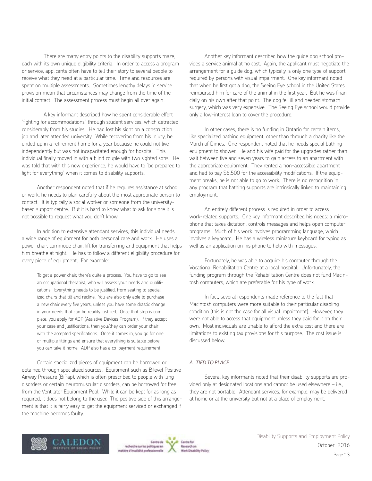There are many entry points to the disability supports maze, each with its own unique eligibility criteria. In order to access a program or service, applicants often have to tell their story to several people to receive what they need at a particular time. Time and resources are spent on multiple assessments. Sometimes lengthy delays in service provision mean that circumstances may change from the time of the initial contact. The assessment process must begin all over again.

A key informant described how he spent considerable effort "fighting for accommodations" through student services, which detracted considerably from his studies. He had lost his sight on a construction job and later attended university. While recovering from his injury, he ended up in a retirement home for a year because he could not live independently but was not incapacitated enough for hospital. This individual finally moved in with a blind couple with two sighted sons. He was told that with this new experience, he would have to "be prepared to fight for everything" when it comes to disability supports.

Another respondent noted that if he requires assistance at school or work, he needs to plan carefully about the most appropriate person to contact. It is typically a social worker or someone from the universitybased support centre. But it is hard to know what to ask for since it is not possible to request what you don't know.

In addition to extensive attendant services, this individual needs a wide range of equipment for both personal care and work. He uses a power chair, commode chair, lift for transferring and equipment that helps him breathe at night. He has to follow a different eligibility procedure for every piece of equipment. For example:

To get a power chair, there's quite a process. You have to go to see an occupational therapist, who will assess your needs and qualifications. Everything needs to be justified, from seating to specialized chairs that tilt and recline. You are also only able to purchase a new chair every five years, unless you have some drastic change in your needs that can be readily justified. Once that step is complete, you apply for ADP (Assistive Devices Program). If they accept your case and justifications, then you/they can order your chair with the accepted specifications. Once it comes in, you go for one or multiple fittings and ensure that everything is suitable before you can take it home. ADP also has a co-payment requirement.

Certain specialized pieces of equipment can be borrowed or obtained through specialized sources. Equipment such as Bilevel Positive Airway Pressure (BiPap), which is often prescribed to people with lung disorders or certain neuromuscular disorders, can be borrowed for free from the Ventilator Equipment Pool. While it can be kept for as long as required, it does not belong to the user. The positive side of this arrangement is that it is fairly easy to get the equipment serviced or exchanged if the machine becomes faulty.

Another key informant described how the guide dog school provides a service animal at no cost. Again, the applicant must negotiate the arrangement for a guide dog, which typically is only one type of support required by persons with visual impairment. One key informant noted that when he first got a dog, the Seeing Eye school in the United States reimbursed him for care of the animal in the first year. But he was financially on his own after that point. The dog fell ill and needed stomach surgery, which was very expensive. The Seeing Eye school would provide only a low-interest loan to cover the procedure.

In other cases, there is no funding in Ontario for certain items, like specialized bathing equipment, other than through a charity like the March of Dimes. One respondent noted that he needs special bathing equipment to shower. He and his wife paid for the upgrades rather than wait between five and seven years to gain access to an apartment with the appropriate equipment. They rented a non-accessible apartment and had to pay \$6,500 for the accessibility modifications. If the equipment breaks, he is not able to go to work. There is no recognition in any program that bathing supports are intrinsically linked to maintaining employment.

An entirely different process is required in order to access work-related supports. One key informant described his needs: a microphone that takes dictation, controls messages and helps open computer programs. Much of his work involves programming language, which involves a keyboard. He has a wireless miniature keyboard for typing as well as an application on his phone to help with messages.

Fortunately, he was able to acquire his computer through the Vocational Rehabilitation Centre at a local hospital. Unfortunately, the funding program through the Rehabilitation Centre does not fund Macintosh computers, which are preferable for his type of work.

In fact, several respondents made reference to the fact that Macintosh computers were more suitable to their particular disabling condition (this is not the case for all visual impairment). However, they were not able to access that equipment unless they paid for it on their own. Most individuals are unable to afford the extra cost and there are limitations to existing tax provisions for this purpose. The cost issue is discussed below.

#### *A. TIED TO PLACE*

Several key informants noted that their disability supports are provided only at designated locations and cannot be used elsewhere – i.e., they are not portable. Attendant services, for example, may be delivered at home or at the university but not at a place of employment.



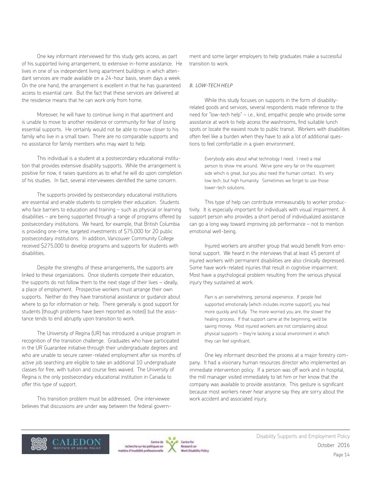One key informant interviewed for this study gets access, as part of his supported living arrangement, to extensive in-home assistance. He lives in one of six independent living apartment buildings in which attendant services are made available on a 24-hour basis, seven days a week. On the one hand, the arrangement is excellent in that he has guaranteed access to essential care. But the fact that these services are delivered at the residence means that he can work only from home.

Moreover, he will have to continue living in that apartment and is unable to move to another residence or community for fear of losing essential supports. He certainly would not be able to move closer to his family who live in a small town. There are no comparable supports and no assistance for family members who may want to help.

This individual is a student at a postsecondary educational institution that provides extensive disability supports. While the arrangement is positive for now, it raises questions as to what he will do upon completion of his studies. In fact, several interviewees identified the same concern.

The supports provided by postsecondary educational institutions are essential and enable students to complete their education. Students who face barriers to education and training – such as physical or learning disabilities – are being supported through a range of programs offered by postsecondary institutions. We heard, for example, that British Columbia is providing one-time, targeted investments of \$75,000 for 20 public postsecondary institutions. In addition, Vancouver Community College received \$275,000 to develop programs and supports for students with disabilities.

Despite the strengths of these arrangements, the supports are linked to these organizations. Once students compete their education, the supports do not follow them to the next stage of their lives – ideally, a place of employment. Prospective workers must arrange their own supports. Neither do they have transitional assistance or guidance about where to go for information or help. There generally is good support for students (though problems have been reported as noted) but the assistance tends to end abruptly upon transition to work.

The University of Regina (UR) has introduced a unique program in recognition of the transition challenge. Graduates who have participated in the UR Guarantee initiative through their undergraduate degrees and who are unable to secure career-related employment after six months of active job searching are eligible to take an additional 10 undergraduate classes for free, with tuition and course fees waived. The University of Regina is the only postsecondary educational institution in Canada to offer this type of support.

This transition problem must be addressed. One interviewee believes that discussions are under way between the federal govern-

ment and some larger employers to help graduates make a successful transition to work.

#### *B. LOW-TECH HELP*

While this study focuses on supports in the form of disabilityrelated goods and services, several respondents made reference to the need for "low-tech help" – i.e., kind, empathic people who provide some assistance at work to help access the washrooms, find suitable lunch spots or locate the easiest route to public transit. Workers with disabilities often feel like a burden when they have to ask a lot of additional questions to feel comfortable in a given environment.

Everybody asks about what technology I need. I need a real person to show me around. We've gone very far on the equipment side which is great, but you also need the human contact. It's very low tech, but high humanity. Sometimes we forget to use those lower-tech solutions.

This type of help can contribute immeasurably to worker productivity. It is especially important for individuals with visual impairment. A support person who provides a short period of individualized assistance can go a long way toward improving job performance – not to mention emotional well-being.

Injured workers are another group that would benefit from emotional support. We heard in the interviews that at least 45 percent of injured workers with permanent disabilities are also clinically depressed. Some have work-related injuries that result in cognitive impairment. Most have a psychological problem resulting from the serious physical injury they sustained at work.

Pain is an overwhelming, personal experience. If people feel supported emotionally (which includes income support), you heal more quickly and fully. The more worried you are, the slower the healing process. If that support came at the beginning, we'd be saving money. Most injured workers are not complaining about physical supports – they're lacking a social environment in which they can feel significant.

One key informant described the process at a major forestry company. It had a visionary human resources director who implemented an immediate intervention policy. If a person was off work and in hospital, the mill manager visited immediately to let him or her know that the company was available to provide assistance. This gesture is significant because most workers never hear anyone say they are sorry about the work accident and associated injury.





Cantine Rod **Besearch** an A Disability Policy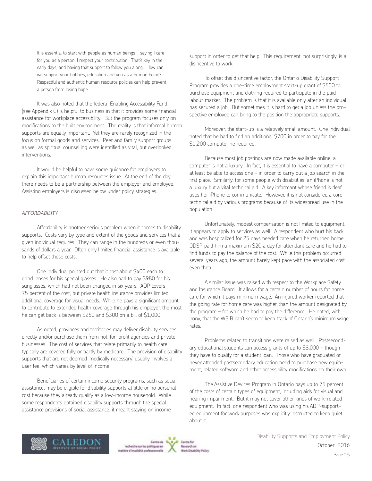It is essential to start with people as human beings – saying I care for you as a person, I respect your contribution. That's key in the early days, and having that support to follow you along. How can we support your hobbies, education and you as a human being? Respectful and authentic human resource policies can help prevent a person from losing hope.

It was also noted that the federal Enabling Accessibility Fund (see Appendix C) is helpful to business in that it provides some financial assistance for workplace accessibility. But the program focuses only on modifications to the built environment. The reality is that informal human supports are equally important. Yet they are rarely recognized in the focus on formal goods and services. Peer and family support groups as well as spiritual counselling were identified as vital, but overlooked, interventions.

It would be helpful to have some guidance for employers to explain this important human resources issue. At the end of the day, there needs to be a partnership between the employer and employee. Assisting employers is discussed below under policy strategies.

#### *AFFORDABILITY*

Affordability is another serious problem when it comes to disability supports. Costs vary by type and extent of the goods and services that a given individual requires. They can range in the hundreds or even thousands of dollars a year. Often only limited financial assistance is available to help offset these costs.

One individual pointed out that it cost about \$400 each to grind lenses for his special glasses. He also had to pay \$980 for his sunglasses, which had not been changed in six years. ADP covers 75 percent of the cost, but private health insurance provides limited additional coverage for visual needs. While he pays a significant amount to contribute to extended health coverage through his employer, the most he can get back is between \$250 and \$300 on a bill of \$1,000.

As noted, provinces and territories may deliver disability services directly and/or purchase them from not-for-profit agencies and private businesses. The cost of services that relate primarily to health care typically are covered fully or partly by medicare. The provision of disability supports that are not deemed 'medically necessary' usually involves a user fee, which varies by level of income.

Beneficiaries of certain income security programs, such as social assistance, may be eligible for disability supports at little or no personal cost because they already qualify as a low-income household. While some respondents obtained disability supports through the special assistance provisions of social assistance, it meant staying on income

support in order to get that help. This requirement, not surprisingly, is a disincentive to work.

To offset this disincentive factor, the Ontario Disability Support Program provides a one-time employment start-up grant of \$500 to purchase equipment and clothing required to participate in the paid labour market. The problem is that it is available only after an individual has secured a job. But sometimes it is hard to get a job unless the prospective employee can bring to the position the appropriate supports.

Moreover, the start-up is a relatively small amount. One individual noted that he had to find an additional \$700 in order to pay for the \$1,200 computer he required.

Because most job postings are now made available online, a computer is not a luxury. In fact, it is essential to have a computer – or at least be able to access one  $-$  in order to carry out a job search in the first place. Similarly, for some people with disabilities, an iPhone is not a luxury but a vital technical aid. A key informant whose friend is deaf uses her iPhone to communicate. However, it is not considered a core technical aid by various programs because of its widespread use in the population.

Unfortunately, modest compensation is not limited to equipment. It appears to apply to services as well. A respondent who hurt his back and was hospitalized for 25 days needed care when he returned home. ODSP paid him a maximum \$20 a day for attendant care and he had to find funds to pay the balance of the cost. While this problem occurred several years ago, the amount barely kept pace with the associated cost even then.

A similar issue was raised with respect to the Workplace Safety and Insurance Board. It allows for a certain number of hours for home care for which it pays minimum wage. An injured worker reported that the going rate for home care was higher than the amount designated by the program – for which he had to pay the difference. He noted, with irony, that the WSIB can't seem to keep track of Ontario's minimum wage rates.

Problems related to transitions were raised as well. Postsecondary educational students can access grants of up to \$8,000 – though they have to qualify for a student loan. Those who have graduated or never attended postsecondary education need to purchase new equipment, related software and other accessibility modifications on their own.

The Assistive Devices Program in Ontario pays up to 75 percent of the costs of certain types of equipment, including aids for visual and hearing impairment. But it may not cover other kinds of work-related equipment. In fact, one respondent who was using his ADP-supported equipment for work purposes was explicitly instructed to keep quiet about it.





Cantine Rod **Besearch** an **Nork Disability Policy**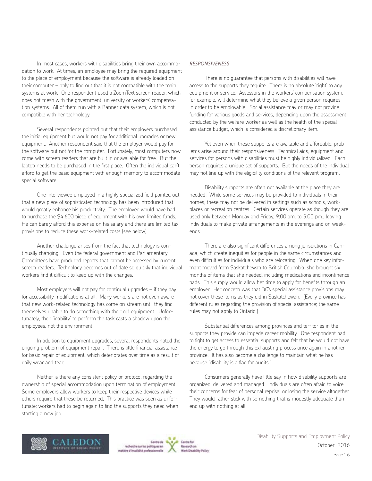In most cases, workers with disabilities bring their own accommodation to work. At times, an employee may bring the required equipment to the place of employment because the software is already loaded on their computer – only to find out that it is not compatible with the main systems at work. One respondent used a ZoomText screen reader, which does not mesh with the government, university or workers' compensation systems. All of them run with a Banner data system, which is not compatible with her technology.

Several respondents pointed out that their employers purchased the initial equipment but would not pay for additional upgrades or new equipment. Another respondent said that the employer would pay for the software but not for the computer. Fortunately, most computers now come with screen readers that are built in or available for free. But the laptop needs to be purchased in the first place. Often the individual can't afford to get the basic equipment with enough memory to accommodate special software.

One interviewee employed in a highly specialized field pointed out that a new piece of sophisticated technology has been introduced that would greatly enhance his productivity. The employee would have had to purchase the \$4,600 piece of equipment with his own limited funds. He can barely afford this expense on his salary and there are limited tax provisions to reduce these work-related costs (see below).

Another challenge arises from the fact that technology is continually changing. Even the federal government and Parliamentary Committees have produced reports that cannot be accessed by current screen readers. Technology becomes out of date so quickly that individual workers find it difficult to keep up with the changes.

Most employers will not pay for continual upgrades – if they pay for accessibility modifications at all. Many workers are not even aware that new work-related technology has come on stream until they find themselves unable to do something with their old equipment. Unfortunately, their 'inability' to perform the task casts a shadow upon the employees, not the environment.

In addition to equipment upgrades, several respondents noted the ongoing problem of equipment repair. There is little financial assistance for basic repair of equipment, which deteriorates over time as a result of daily wear and tear.

Neither is there any consistent policy or protocol regarding the ownership of special accommodation upon termination of employment. Some employers allow workers to keep their respective devices while others require that these be returned. This practice was seen as unfortunate; workers had to begin again to find the supports they need when starting a new job.

#### *RESPONSIVENESS*

There is no guarantee that persons with disabilities will have access to the supports they require. There is no absolute 'right' to any equipment or service. Assessors in the workers' compensation system, for example, will determine what they believe a given person requires in order to be employable. Social assistance may or may not provide funding for various goods and services, depending upon the assessment conducted by the welfare worker as well as the health of the special assistance budget, which is considered a discretionary item.

Yet even when these supports are available and affordable, problems arise around their responsiveness. Technical aids, equipment and services for persons with disabilities must be highly individualized. Each person requires a unique set of supports. But the needs of the individual may not line up with the eligibility conditions of the relevant program.

Disability supports are often not available at the place they are needed. While some services may be provided to individuals in their homes, these may not be delivered in settings such as schools, workplaces or recreation centres. Certain services operate as though they are used only between Monday and Friday, 9:00 am. to 5:00 pm., leaving individuals to make private arrangements in the evenings and on weekends.

There are also significant differences among jurisdictions in Canada, which create inequities for people in the same circumstances and even difficulties for individuals who are relocating. When one key informant moved from Saskatchewan to British Columbia, she brought six months of items that she needed, including medications and incontinence pads. This supply would allow her time to apply for benefits through an employer. Her concern was that BC's special assistance provisions may not cover these items as they did in Saskatchewan. (Every province has different rules regarding the provision of special assistance; the same rules may not apply to Ontario.)

Substantial differences among provinces and territories in the supports they provide can impede career mobility. One respondent had to fight to get access to essential supports and felt that he would not have the energy to go through this exhausting process once again in another province. It has also become a challenge to maintain what he has because "disability is a flag for audits."

Consumers generally have little say in how disability supports are organized, delivered and managed. Individuals are often afraid to voice their concerns for fear of personal reprisal or losing the service altogether. They would rather stick with something that is modestly adequate than end up with nothing at all.





Cantine Rod **Besearch** an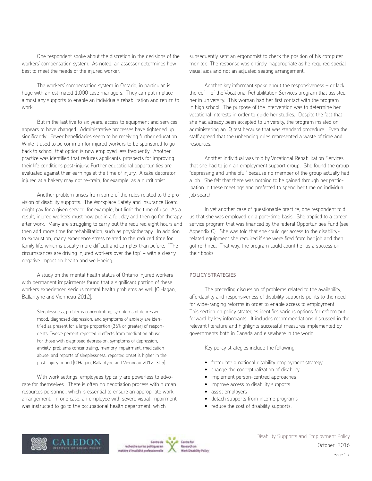One respondent spoke about the discretion in the decisions of the workers' compensation system. As noted, an assessor determines how best to meet the needs of the injured worker.

The workers' compensation system in Ontario, in particular, is huge with an estimated 1,000 case managers. They can put in place almost any supports to enable an individual's rehabilitation and return to work.

But in the last five to six years, access to equipment and services appears to have changed. Administrative processes have tightened up significantly. Fewer beneficiaries seem to be receiving further education. While it used to be common for injured workers to be sponsored to go back to school, that option is now employed less frequently. Another practice was identified that reduces applicants' prospects for improving their life conditions post-injury: Further educational opportunities are evaluated against their earnings at the time of injury. A cake decorator injured at a bakery may not re-train, for example, as a nutritionist.

Another problem arises from some of the rules related to the provision of disability supports. The Workplace Safety and Insurance Board might pay for a given service, for example, but limit the time of use. As a result, injured workers must now put in a full day and then go for therapy after work. Many are struggling to carry out the required eight hours and then add more time for rehabilitation, such as physiotherapy. In addition to exhaustion, many experience stress related to the reduced time for family life, which is usually more difficult and complex than before. "The circumstances are driving injured workers over the top" − with a clearly negative impact on health and well-being.

A study on the mental health status of Ontario injured workers with permanent impairments found that a significant portion of these workers experienced serious mental health problems as well [O'Hagan, Ballantyne and Vienneau 2012].

Sleeplessness, problems concentrating, symptoms of depressed mood, diagnosed depression, and symptoms of anxiety are identified as present for a large proportion (36% or greater) of respondents. Twelve percent reported ill effects from medication abuse. For those with diagnosed depression, symptoms of depression, anxiety, problems concentrating, memory impairment, medication abuse, and reports of sleeplessness, reported onset is higher in the post-injury period [O'Hagan, Ballantyne and Vienneau 2012: 305].

With work settings, employees typically are powerless to advocate for themselves. There is often no negotiation process with human resources personnel, which is essential to ensure an appropriate work arrangement. In one case, an employee with severe visual impairment was instructed to go to the occupational health department, which

subsequently sent an ergonomist to check the position of his computer monitor. The response was entirely inappropriate as he required special visual aids and not an adjusted seating arrangement.

Another key informant spoke about the responsiveness – or lack thereof – of the Vocational Rehabilitation Services program that assisted her in university. This woman had her first contact with the program in high school. The purpose of the intervention was to determine her vocational interests in order to guide her studies. Despite the fact that she had already been accepted to university, the program insisted on administering an IQ test because that was standard procedure. Even the staff agreed that the unbending rules represented a waste of time and resources.

Another individual was told by Vocational Rehabilitation Services that she had to join an employment support group. She found the group "depressing and unhelpful" because no member of the group actually had a job. She felt that there was nothing to be gained through her participation in these meetings and preferred to spend her time on individual iob search.

In yet another case of questionable practice, one respondent told us that she was employed on a part-time basis. She applied to a career service program that was financed by the federal Opportunities Fund (see Appendix C). She was told that she could get access to the disabilityrelated equipment she required if she were fired from her job and then got re-hired. That way, the program could count her as a success on their books.

#### POLICY STRATEGIES

The preceding discussion of problems related to the availability, affordability and responsiveness of disability supports points to the need for wide-ranging reforms in order to enable access to employment. This section on policy strategies identifies various options for reform put forward by key informants. It includes recommendations discussed in the relevant literature and highlights successful measures implemented by governments both in Canada and elsewhere in the world.

Key policy strategies include the following:

- formulate a national disability employment strategy
- change the conceptualization of disability
- implement person-centred approaches
- improve access to disability supports
- assist employers
- detach supports from income programs
- reduce the cost of disability supports.





Cantine Rod **Besearch** an on Disability Policy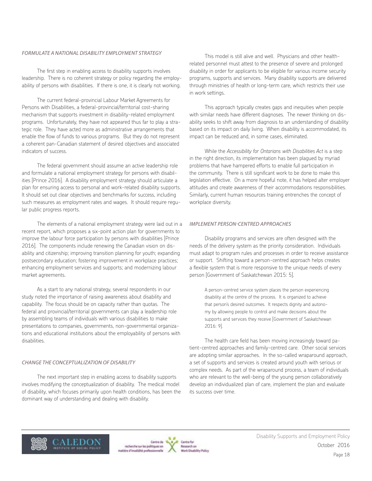## *FORMULATE A NATIONAL DISABILITY EMPLOYMENT STRATEGY*

The first step in enabling access to disability supports involves leadership. There is no coherent strategy or policy regarding the employability of persons with disabilities. If there is one, it is clearly not working.

The current federal-provincial Labour Market Agreements for Persons with Disabilities, a federal-provincial/territorial cost-sharing mechanism that supports investment in disability-related employment programs. Unfortunately, they have not appeared thus far to play a strategic role. They have acted more as administrative arrangements that enable the flow of funds to various programs. But they do not represent a coherent pan-Canadian statement of desired objectives and associated indicators of success.

The federal government should assume an active leadership role and formulate a national employment strategy for persons with disabilities [Prince 2016]. A disability employment strategy should articulate a plan for ensuring access to personal and work-related disability supports. It should set out clear objectives and benchmarks for success, including such measures as employment rates and wages. It should require regular public progress reports.

The elements of a national employment strategy were laid out in a recent report, which proposes a six-point action plan for governments to improve the labour force participation by persons with disabilities [Prince 2016]. The components include renewing the Canadian vision on disability and citizenship; improving transition planning for youth; expanding postsecondary education; fostering improvement in workplace practices; enhancing employment services and supports; and modernizing labour market agreements.

As a start to any national strategy, several respondents in our study noted the importance of raising awareness about disability and capability. The focus should be on capacity rather than quotas. The federal and provincial/territorial governments can play a leadership role by assembling teams of individuals with various disabilities to make presentations to companies, governments, non-governmental organizations and educational institutions about the employability of persons with disabilities.

#### *CHANGE THE CONCEPTUALIZATION OF DISABILITY*

The next important step in enabling access to disability supports involves modifying the conceptualization of disability. The medical model of disability, which focuses primarily upon health conditions, has been the dominant way of understanding and dealing with disability.

This model is still alive and well. Physicians and other healthrelated personnel must attest to the presence of severe and prolonged disability in order for applicants to be eligible for various income security programs, supports and services. Many disability supports are delivered through ministries of health or long-term care, which restricts their use in work settings.

This approach typically creates gaps and inequities when people with similar needs have different diagnoses. The newer thinking on disability seeks to shift away from diagnosis to an understanding of disability based on its impact on daily living. When disability is accommodated, its impact can be reduced and, in some cases, eliminated.

While the *Accessibility for Ontarians with Disabilities Act* is a step in the right direction, its implementation has been plagued by myriad problems that have hampered efforts to enable full participation in the community. There is still significant work to be done to make this legislation effective. On a more hopeful note, it has helped alter employer attitudes and create awareness of their accommodations responsibilities. Similarly, current human resources training entrenches the concept of workplace diversity.

#### *IMPLEMENT PERSON-CENTRED APPROACHES*

Disability programs and services are often designed with the needs of the delivery system as the priority consideration. Individuals must adapt to program rules and processes in order to receive assistance or support. Shifting toward a person-centred approach helps creates a flexible system that is more responsive to the unique needs of every person [Government of Saskatchewan 2015: 5].

A person-centred service system places the person experiencing disability at the centre of the process. It is organized to achieve that person's desired outcomes. It respects dignity and autonomy by allowing people to control and make decisions about the supports and services they receive [Government of Saskatchewan 2016: 9].

The health care field has been moving increasingly toward patient-centred approaches and family-centred care. Other social services are adopting similar approaches. In the so-called wraparound approach, a set of supports and services is created around youth with serious or complex needs. As part of the wraparound process, a team of individuals who are relevant to the well-being of the young person collaboratively develop an individualized plan of care, implement the plan and evaluate its success over time.





Cantine Rod **Besearch** an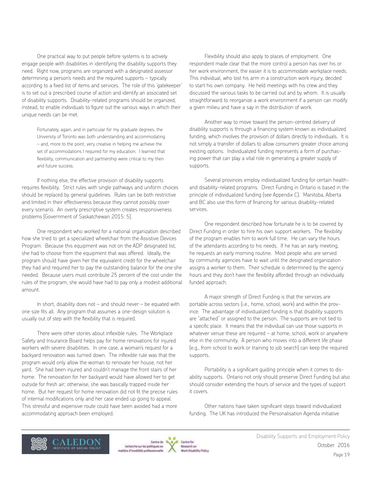One practical way to put people before systems is to actively engage people with disabilities in identifying the disability supports they need. Right now, programs are organized with a designated assessor determining a person's needs and the required supports – typically according to a fixed list of items and services. The role of this 'gatekeeper' is to set out a prescribed course of action and identify an associated set of disability supports. Disability-related programs should be organized, instead, to enable individuals to figure out the various ways in which their unique needs can be met.

Fortunately, again, and in particular for my graduate degrees, the University of Toronto was both understanding and accommodating – and, more to the point, very creative in helping me achieve the set of accommodations I required for my education. I learned that flexibility, communication and partnership were critical to my then and future success.

If nothing else, the effective provision of disability supports requires flexibility. Strict rules with single pathways and uniform choices should be replaced by general guidelines. Rules can be both restrictive and limited in their effectiveness because they cannot possibly cover every scenario. An overly prescriptive system creates responsiveness problems [Government of Saskatchewan 2015: 5].

One respondent who worked for a national organization described how she tried to get a specialized wheelchair from the Assistive Devices Program. Because this equipment was not on the ADP designated list, she had to choose from the equipment that was offered. Ideally, the program should have given her the equivalent credit for the wheelchair they had and required her to pay the outstanding balance for the one she needed. Because users must contribute 25 percent of the cost under the rules of the program, she would have had to pay only a modest additional amount.

In short, disability does not  $-$  and should never  $-$  be equated with one size fits all. Any program that assumes a one-design solution is usually out of step with the flexibility that is required.

There were other stories about inflexible rules. The Workplace Safety and Insurance Board helps pay for home renovations for injured workers with severe disabilities. In one case, a woman's request for a backyard renovation was turned down. The inflexible rule was that the program would only allow the woman to renovate her house, not her yard. She had been injured and couldn't manage the front stairs of her home. The renovation for her backyard would have allowed her to get outside for fresh air; otherwise, she was basically trapped inside her home. But her request for home renovation did not fit the precise rules of internal modifications only and her case ended up going to appeal. This stressful and expensive route could have been avoided had a more accommodating approach been employed.

Flexibility should also apply to places of employment. One respondent made clear that the more control a person has over his or her work environment, the easier it is to accommodate workplace needs. This individual, who lost his arm in a construction work injury, decided to start his own company. He held meetings with his crew and they discussed the various tasks to be carried out and by whom. It is usually straightforward to reorganize a work environment if a person can modify a given milieu and have a say in the distribution of work.

Another way to move toward the person-centred delivery of disability supports is through a financing system known as individualized funding, which involves the provision of dollars directly to individuals. It is not simply a transfer of dollars to allow consumers greater choice among existing options. Individualized funding represents a form of purchasing power that can play a vital role in generating a greater supply of supports.

Several provinces employ individualized funding for certain healthand disability-related programs. Direct Funding in Ontario is based in the principle of individualized funding (see Appendix C). Manitoba, Alberta and BC also use this form of financing for various disability-related services.

One respondent described how fortunate he is to be covered by Direct Funding in order to hire his own support workers. The flexibility of the program enables him to work full time. He can vary the hours of the attendants according to his needs. If he has an early meeting, he requests an early morning routine. Most people who are served by community agencies have to wait until the designated organization assigns a worker to them. Their schedule is determined by the agency hours and they don't have the flexibility afforded through an individually funded approach.

A major strength of Direct Funding is that the services are portable across sectors (i.e., home, school, work) and within the province. The advantage of individualized funding is that disability supports are "attached" or assigned to the person. The supports are not tied to a specific place. It means that the individual can use those supports in whatever venue these are required – at home, school, work or anywhere else in the community. A person who moves into a different life phase (e.g., from school to work or training to job search) can keep the required supports.

Portability is a significant guiding principle when it comes to disability supports. Ontario not only should preserve Direct Funding but also should consider extending the hours of service and the types of support it covers.

Other nations have taken significant steps toward individualized funding. The UK has introduced the Personalisation Agenda initiative





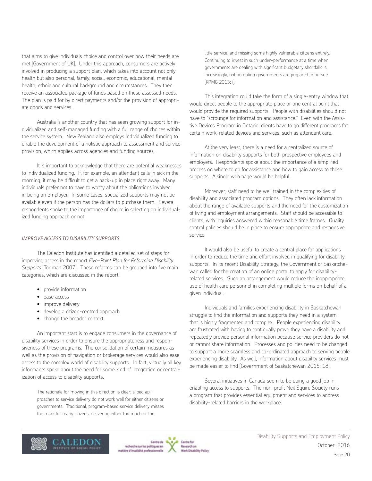that aims to give individuals choice and control over how their needs are met [Government of UK]. Under this approach, consumers are actively involved in producing a support plan, which takes into account not only health but also personal, family, social, economic, educational, mental health, ethnic and cultural background and circumstances. They then receive an associated package of funds based on these assessed needs. The plan is paid for by direct payments and/or the provision of appropriate goods and services.

Australia is another country that has seen growing support for individualized and self-managed funding with a full range of choices within the service system. New Zealand also employs individualized funding to enable the development of a holistic approach to assessment and service provision, which applies across agencies and funding sources.

It is important to acknowledge that there are potential weaknesses to individualized funding. If, for example, an attendant calls in sick in the morning, it may be difficult to get a back-up in place right away. Many individuals prefer not to have to worry about the obligations involved in being an employer. In some cases, specialized supports may not be available even if the person has the dollars to purchase them. Several respondents spoke to the importance of choice in selecting an individualized funding approach or not.

#### *IMPROVE ACCESS TO DISABILITY SUPPORTS*

The Caledon Institute has identified a detailed set of steps for improving access in the report *Five-Point Plan for Reforming Disability Supports* [Torjman 2007]. These reforms can be grouped into five main categories, which are discussed in the report:

- provide information
- ease access
- improve delivery
- develop a citizen-centred approach
- change the broader context.

An important start is to engage consumers in the governance of disability services in order to ensure the appropriateness and responsiveness of these programs. The consolidation of certain measures as well as the provision of navigation or brokerage services would also ease access to the complex world of disability supports. In fact, virtually all key informants spoke about the need for some kind of integration or centralization of access to disability supports.

The rationale for moving in this direction is clear: siloed approaches to service delivery do not work well for either citizens or governments. Traditional, program-based service delivery misses the mark for many citizens, delivering either too much or too

little service, and missing some highly vulnerable citizens entirely. Continuing to invest in such under-performance at a time when governments are dealing with significant budgetary shortfalls is, increasingly, not an option governments are prepared to pursue [KPMG 2013: i].

This integration could take the form of a single-entry window that would direct people to the appropriate place or one central point that would provide the required supports. People with disabilities should not have to "scrounge for information and assistance." Even with the Assistive Devices Program in Ontario, clients have to go different programs for certain work-related devices and services, such as attendant care.

At the very least, there is a need for a centralized source of information on disability supports for both prospective employees and employers. Respondents spoke about the importance of a simplified process on where to go for assistance and how to gain access to those supports. A single web page would be helpful.

Moreover, staff need to be well trained in the complexities of disability and associated program options. They often lack information about the range of available supports and the need for the customization of living and employment arrangements. Staff should be accessible to clients, with inquiries answered within reasonable time frames. Quality control policies should be in place to ensure appropriate and responsive service.

It would also be useful to create a central place for applications in order to reduce the time and effort involved in qualifying for disability supports. In its recent Disability Strategy, the Government of Saskatchewan called for the creation of an online portal to apply for disabilityrelated services. Such an arrangement would reduce the inappropriate use of health care personnel in completing multiple forms on behalf of a given individual.

Individuals and families experiencing disability in Saskatchewan struggle to find the information and supports they need in a system that is highly fragmented and complex. People experiencing disability are frustrated with having to continually prove they have a disability and repeatedly provide personal information because service providers do not or cannot share information. Processes and policies need to be changed to support a more seamless and co-ordinated approach to serving people experiencing disability. As well, information about disability services must be made easier to find [Government of Saskatchewan 2015: 18].

Several initiatives in Canada seem to be doing a good job in enabling access to supports. The non-profit Neil Squire Society runs a program that provides essential equipment and services to address disability-related barriers in the workplace.



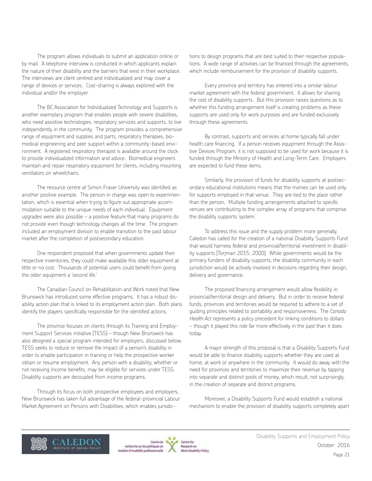The program allows individuals to submit an application online or by mail. A telephone interview is conducted in which applicants explain the nature of their disability and the barriers that exist in their workplace. The interviews are client centred and individualized and may cover a range of devices or services. Cost-sharing is always explored with the individual and/or the employer.

The BC Association for Individualized Technology and Supports is another exemplary program that enables people with severe disabilities, who need assistive technologies, respiratory services and supports, to live independently in the community. The program provides a comprehensive range of equipment and supplies and parts, respiratory therapies, biomedical engineering and peer support within a community-based environment. A registered respiratory therapist is available around the clock to provide individualized information and advice. Biomedical engineers maintain and repair respiratory equipment for clients, including mounting ventilators on wheelchairs.

The resource centre at Simon Fraser University was identified as another positive example. The person in charge was open to experimentation, which is essential when trying to figure out appropriate accommodation suitable to the unique needs of each individual. Equipment upgrades were also possible – a positive feature that many programs do not provide even though technology changes all the time. The program included an employment division to enable transition to the paid labour market after the completion of postsecondary education.

One respondent proposed that when governments update their respective inventories, they could make available this older equipment at little or no cost. Thousands of potential users could benefit from giving the older equipment a 'second life.'

The Canadian Council on Rehabilitation and Work noted that New Brunswick has introduced some effective programs. It has a robust disability action plan that is linked to its employment action plan. Both plans identify the players specifically responsible for the identified actions.

The province focuses on clients through its Training and Employment Support Services initiative (TESS) – though New Brunswick has also designed a special program intended for employers, discussed below. TESS seeks to reduce or remove the impact of a person's disability in order to enable participation in training or help the prospective worker obtain or resume employment. Any person with a disability, whether or not receiving income benefits, may be eligible for services under TESS. Disability supports are decoupled from income programs.

Through its focus on both prospective employees and employers, New Brunswick has taken full advantage of the federal-provincial Labour Market Agreement on Persons with Disabilities, which enables jurisdic-

tions to design programs that are best suited to their respective populations. A wide range of activities can be financed through the agreements, which include reimbursement for the provision of disability supports.

Every province and territory has entered into a similar labour market agreement with the federal government. It allows for sharing the cost of disability supports. But this provision raises questions as to whether this funding arrangement itself is creating problems as these supports are used only for work purposes and are funded exclusively through these agreements.

By contrast, supports and services at home typically fall under health care financing. If a person receives equipment through the Assistive Devices Program, it is not supposed to be used for work because it is funded through the Ministry of Health and Long-Term Care. Employers are expected to fund these items.

Similarly, the provision of funds for disability supports at postsecondary educational institutions means that the monies can be used only for supports employed in that venue. They are tied to the place rather than the person. Multiple funding arrangements attached to specific venues are contributing to the complex array of programs that comprise the disability supports 'system.'

To address this issue and the supply problem more generally, Caledon has called for the creation of a national Disability Supports Fund that would harness federal and provincial/territorial investment in disability supports [Torjman 2015; 2000]. While governments would be the primary funders of disability supports, the disability community in each jurisdiction would be actively involved in decisions regarding their design, delivery and governance.

The proposed financing arrangement would allow flexibility in provincial/territorial design and delivery. But in order to receive federal funds, provinces and territories would be required to adhere to a set of guiding principles related to portability and responsiveness. The *Canada Health Act* represents a policy precedent for linking conditions to dollars − though it played this role far more effectively in the past than it does today.

A major strength of this proposal is that a Disability Supports Fund would be able to finance disability supports whether they are used at home, at work or anywhere in the community. It would do away with the need for provinces and territories to maximize their revenue by tapping into separate and distinct pools of money, which result, not surprisingly, in the creation of separate and distinct programs.

Moreover, a Disability Supports Fund would establish a national mechanism to enable the provision of disability supports completely apart





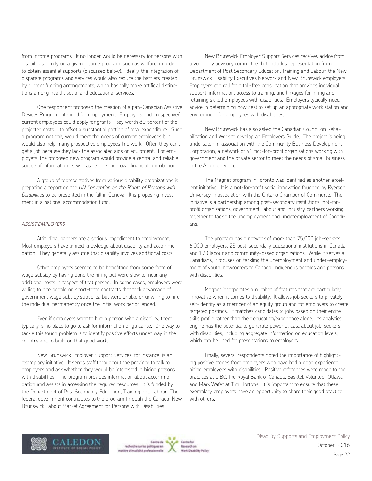from income programs. It no longer would be necessary for persons with disabilities to rely on a given income program, such as welfare, in order to obtain essential supports (discussed below). Ideally, the integration of disparate programs and services would also reduce the barriers created by current funding arrangements, which basically make artificial distinctions among health, social and educational services.

One respondent proposed the creation of a pan-Canadian Assistive Devices Program intended for employment. Employers and prospective/ current employees could apply for grants – say worth 80 percent of the projected costs − to offset a substantial portion of total expenditure. Such a program not only would meet the needs of current employees but would also help many prospective employees find work. Often they can't get a job because they lack the associated aids or equipment. For employers, the proposed new program would provide a central and reliable source of information as well as reduce their own financial contribution.

A group of representatives from various disability organizations is preparing a report on the *UN Convention on the Rights of Persons with Disabilities* to be presented in the fall in Geneva. It is proposing investment in a national accommodation fund.

#### *ASSIST EMPLOYERS*

Attitudinal barriers are a serious impediment to employment. Most employers have limited knowledge about disability and accommodation. They generally assume that disability involves additional costs.

Other employers seemed to be benefitting from some form of wage subsidy by having done the hiring but were slow to incur any additional costs in respect of that person. In some cases, employers were willing to hire people on short-term contracts that took advantage of government wage subsidy supports, but were unable or unwilling to hire the individual permanently once the initial work period ended.

Even if employers want to hire a person with a disability, there typically is no place to go to ask for information or guidance. One way to tackle this tough problem is to identify positive efforts under way in the country and to build on that good work.

New Brunswick Employer Support Services, for instance, is an exemplary initiative. It sends staff throughout the province to talk to employers and ask whether they would be interested in hiring persons with disabilities. The program provides information about accommodation and assists in accessing the required resources. It is funded by the Department of Post Secondary Education, Training and Labour. The federal government contributes to the program through the Canada-New Brunswick Labour Market Agreement for Persons with Disabilities.

New Brunswick Employer Support Services receives advice from a voluntary advisory committee that includes representation from the Department of Post Secondary Education, Training and Labour, the New Brunswick Disability Executives Network and New Brunswick employers. Employers can call for a toll-free consultation that provides individual support, information, access to training, and linkages for hiring and retaining skilled employees with disabilities. Employers typically need advice in determining how best to set up an appropriate work station and environment for employees with disabilities.

New Brunswick has also asked the Canadian Council on Rehabilitation and Work to develop an Employers Guide. The project is being undertaken in association with the Community Business Development Corporation, a network of 41 not-for-profit organizations working with government and the private sector to meet the needs of small business in the Atlantic region.

The Magnet program in Toronto was identified as another excellent initiative. It is a not-for-profit social innovation founded by Ryerson University in association with the Ontario Chamber of Commerce. The initiative is a partnership among post-secondary institutions, not-forprofit organizations, government, labour and industry partners working together to tackle the unemployment and underemployment of Canadians.

The program has a network of more than 75,000 job-seekers, 6,000 employers, 28 post-secondary educational institutions in Canada and 170 labour and community-based organizations. While it serves all Canadians, it focuses on tackling the unemployment and under-employment of youth, newcomers to Canada, Indigenous peoples and persons with disabilities.

Magnet incorporates a number of features that are particularly innovative when it comes to disability. It allows job seekers to privately self-identify as a member of an equity group and for employers to create targeted postings. It matches candidates to jobs based on their entire skills profile rather than their education/experience alone. Its analytics engine has the potential to generate powerful data about job-seekers with disabilities, including aggregate information on education levels, which can be used for presentations to employers.

Finally, several respondents noted the importance of highlighting positive stories from employers who have had a good experience hiring employees with disabilities. Positive references were made to the practices at CIBC, the Royal Bank of Canada, Sasktel, Volunteer Ottawa and Mark Wafer at Tim Hortons. It is important to ensure that these exemplary employers have an opportunity to share their good practice with others.





Cantine Rod **Besearch** an vi Disability Policy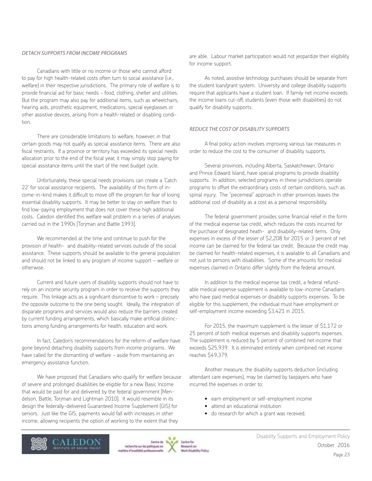### *DETACH SUPPORTS FROM INCOME PROGRAMS*

Canadians with little or no income or those who cannot afford to pay for high health-related costs often turn to social assistance (i.e., welfare) in their respective jurisdictions. The primary role of welfare is to provide financial aid for basic needs - food, clothing, shelter and utilities. But the program may also pay for additional items, such as wheelchairs, hearing aids, prosthetic equipment, medications, special eyeglasses or other assistive devices, arising from a health-related or disabling condition.

There are considerable limitations to welfare, however, in that certain goods may not qualify as special assistance items. There are also fiscal restraints. If a province or territory has exceeded its special needs allocation prior to the end of the fiscal year, it may simply stop paying for special assistance items until the start of the next budget cycle.

Unfortunately, these special needs provisions can create a 'Catch 22' for social assistance recipients. The availability of this form of income-in-kind makes it difficult to move off the program for fear of losing essential disability supports. It may be better to stay on welfare than to find low-paying employment that does not cover these high additional costs. Caledon identified this welfare wall problem in a series of analyses carried out in the 1990s [Torjman and Battle 1993].

We recommended at the time and continue to push for the provision of health- and disability-related services outside of the social assistance. These supports should be available to the general population and should not be linked to any program of income support – welfare or otherwise.

Current and future users of disability supports should not have to rely on an income security program in order to receive the supports they require. This linkage acts as a significant disincentive to work – precisely the opposite outcome to the one being sought. Ideally, the integration of disparate programs and services would also reduce the barriers created by current funding arrangements, which basically make artificial distinctions among funding arrangements for health, education and work.

In fact, Caledon's recommendations for the reform of welfare have gone beyond detaching disability supports from income programs. We have called for the dismantling of welfare − aside from maintaining an emergency assistance function.

We have proposed that Canadians who qualify for welfare because of severe and prolonged disabilities be eligible for a new Basic Income that would be paid for and delivered by the federal government [Mendelson, Battle, Torjman and Lightman 2010]. It would resemble in its design the federally-delivered Guaranteed Income Supplement (GIS) for seniors. Just like the GIS, payments would fall with increases in other income, allowing recipients the option of working to the extent that they

are able. Labour market participation would not jeopardize their eligibility for income support.

As noted, assistive technology purchases should be separate from the student loan/grant system. University and college disability supports require that applicants have a student loan. If family net income exceeds the income loans cut-off, students (even those with disabilities) do not qualify for disability supports.

#### *REDUCE THE COST OF DISABILITY SUPPORTS*

A final policy action involves improving various tax measures in order to reduce the cost to the consumer of disability supports.

Several provinces, including Alberta, Saskatchewan, Ontario and Prince Edward Island, have special programs to provide disability supports. In addition, selected programs in these jurisdictions operate programs to offset the extraordinary costs of certain conditions, such as spinal injury. The "piecemeal" approach in other provinces leaves the additional cost of disability as a cost as a personal responsibility.

The federal government provides some financial relief in the form of the medical expense tax credit, which reduces the costs incurred for the purchase of designated heath- and disability-related items. Only expenses in excess of the lesser of \$2,208 for 2015 or 3 percent of net income can be claimed for the federal tax credit. Because the credit may be claimed for health-related expenses, it is available to all Canadians and not just to persons with disabilities. Some of the amounts for medical expenses claimed in Ontario differ slightly from the federal amount.

In addition to the medical expense tax credit, a federal refundable medical expense supplement is available to low-income Canadians who have paid medical expenses or disability supports expenses. To be eligible for this supplement, the individual must have employment or self-employment income exceeding \$3,421 in 2015.

For 2015, the maximum supplement is the lesser of \$1,172 or 25 percent of both medical expenses and disability supports expenses. The supplement is reduced by 5 percent of combined net income that exceeds \$25,939. It is eliminated entirely when combined net income reaches \$49,379.

Another measure, the disability supports deduction (including attendant care expenses), may be claimed by taxpayers who have incurred the expenses in order to:

- earn employment or self-employment income
- attend an educational institution
- do research for which a grant was received.





Cantine Rod **Besearch** an on Disability Policy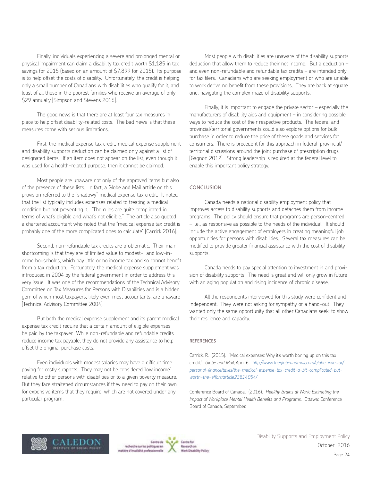Finally, individuals experiencing a severe and prolonged mental or physical impairment can claim a disability tax credit worth \$1,185 in tax savings for 2015 (based on an amount of \$7,899 for 2015). Its purpose is to help offset the costs of disability. Unfortunately, the credit is helping only a small number of Canadians with disabilities who qualify for it, and least of all those in the poorest families who receive an average of only \$29 annually [Simpson and Stevens 2016].

The good news is that there are at least four tax measures in place to help offset disability-related costs. The bad news is that these measures come with serious limitations.

First, the medical expense tax credit, medical expense supplement and disability supports deduction can be claimed only against a list of designated items. If an item does not appear on the list, even though it was used for a health-related purpose, then it cannot be claimed.

Most people are unaware not only of the approved items but also of the presence of these lists. In fact, a Globe and Mail article on this provision referred to the "shadowy" medical expense tax credit. It noted that the list typically includes expenses related to treating a medical condition but not preventing it. "The rules are quite complicated in terms of what's eligible and what's not eligible." The article also quoted a chartered accountant who noted that the "medical expense tax credit is probably one of the more complicated ones to calculate" [Carrick 2016].

Second, non-refundable tax credits are problematic. Their main shortcoming is that they are of limited value to modest- and low-income households, which pay little or no income tax and so cannot benefit from a tax reduction. Fortunately, the medical expense supplement was introduced in 2004 by the federal government in order to address this very issue. It was one of the recommendations of the Technical Advisory Committee on Tax Measures for Persons with Disabilities and is a hidden gem of which most taxpayers, likely even most accountants, are unaware [Technical Advisory Committee 2004].

But both the medical expense supplement and its parent medical expense tax credit require that a certain amount of eligible expenses be paid by the taxpayer. While non-refundable and refundable credits reduce income tax payable, they do not provide any assistance to help offset the original purchase costs.

Even individuals with modest salaries may have a difficult time paying for costly supports. They may not be considered 'low income' relative to other persons with disabilities or to a given poverty measure. But they face straitened circumstances if they need to pay on their own for expensive items that they require, which are not covered under any particular program.

Most people with disabilities are unaware of the disability supports deduction that allow them to reduce their net income. But a deduction – and even non-refundable and refundable tax credits – are intended only for tax filers. Canadians who are seeking employment or who are unable to work derive no benefit from these provisions. They are back at square one, navigating the complex maze of disability supports.

Finally, it is important to engage the private sector  $-$  especially the manufacturers of disability aids and equipment – in considering possible ways to reduce the cost of their respective products. The federal and provincial/territorial governments could also explore options for bulk purchase in order to reduce the price of these goods and services for consumers. There is precedent for this approach in federal-provincial/ territorial discussions around the joint purchase of prescription drugs [Gagnon 2012]. Strong leadership is required at the federal level to enable this important policy strategy.

#### CONCLUSION

Canada needs a national disability employment policy that improves access to disability supports and detaches them from income programs. The policy should ensure that programs are person-centred – i.e., as responsive as possible to the needs of the individual. It should include the active engagement of employers in creating meaningful job opportunities for persons with disabilities. Several tax measures can be modified to provide greater financial assistance with the cost of disability supports.

Canada needs to pay special attention to investment in and provision of disability supports. The need is great and will only grow in future with an aging population and rising incidence of chronic disease.

All the respondents interviewed for this study were confident and independent. They were not asking for sympathy or a hand-out. They wanted only the same opportunity that all other Canadians seek: to show their resilience and capacity.

#### REFERENCES

Carrick, R. (2015). "Medical expenses: Why it's worth boning up on this tax credit." *Globe and Mail*, April 6. *[http://www.theglobeandmail.com/globe-investor/](http://www.theglobeandmail.com/globe-investor/personal-finance/taxes/the-medical-expense-tax-credit-) [personal-finance/taxes/the-medical-expense-tax-credit-a-bit-complicated-but](http://www.theglobeandmail.com/globe-investor/personal-finance/taxes/the-medical-expense-tax-credit-)[worth-the-effort/article23814054/](http://www.theglobeandmail.com/globe-investor/personal-finance/taxes/the-medical-expense-tax-credit-)*

Conference Board of Canada. (2016). *Healthy Brains at Work: Estimating the Impact of Workplace Mental Health Benefits and Programs*. Ottawa: Conference Board of Canada, September.



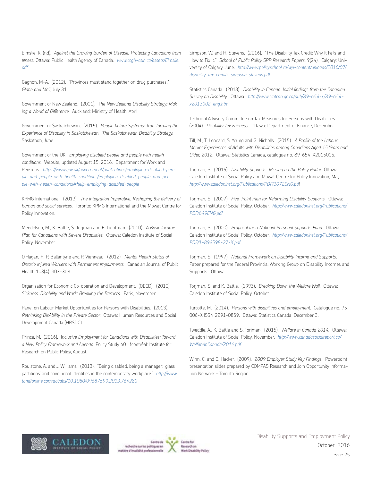Elmslie, K. (nd). *Against the Growing Burden of Disease: Protecting Canadians from Illness.* Ottawa: Public Health Agency of Canada. *[www.ccgh-csih.ca/assets/Elmslie.](http://www.ccgh-csih.ca/assets/Elmslie.pdf) [pdf](http://www.ccgh-csih.ca/assets/Elmslie.pdf)*

Gagnon, M-A. (2012). "Provinces must stand together on drug purchases." *Globe and Mail*, July 31.

Government of New Zealand. (2001). T*he New Zealand Disability Strategy: Making a World of Difference.* Auckland: Ministry of Health, April.

Government of Saskatchewan. (2015). *People before Systems: Transforming the Experience of Disability in Saskatchewan. The Saskatchewan Disability Strategy.*  Saskatoon, June.

Government of the UK. *Employing disabled people and people with health conditions.* Website, updated August 15, 2016. Department for Work and Pensions. *[https://www.gov.uk/government/publications/employing-disabled-peo](https://www.gov.uk/government/publications/employing-disabled-people-and-people-with-health-conditio)[ple-and-people-with-health-conditions/employing-disabled-people-and-peo](https://www.gov.uk/government/publications/employing-disabled-people-and-people-with-health-conditio)[ple-with-health-conditions#help-employing-disabled-people](https://www.gov.uk/government/publications/employing-disabled-people-and-people-with-health-conditio)*

KPMG International. (2013). *The Integration Imperative: Reshaping the delivery of human and social services.* Toronto: KPMG International and the Mowat Centre for Policy Innovation.

Mendelson, M., K. Battle, S. Torjman and E. Lightman. (2010). *A Basic Income Plan for Canadians with Severe Disabilities.* Ottawa: Caledon Institute of Social Policy, November.

O'Hagan, F., P. Ballantyne and P. Vienneau. (2012). *Mental Health Status of Ontario Injured Workers with Permanent Impairments.* Canadian Journal of Public Health 103(4): 303-308.

Organisation for Economic Co-operation and Development. (OECD). (2010). *Sickness, Disability and Work: Breaking the Barriers.* Paris, November.

Panel on Labour Market Opportunities for Persons with Disabilities. (2013). *Rethinking DisAbility in the Private Sector.* Ottawa: Human Resources and Social Development Canada (HRSDC).

Prince, M. (2016). I*nclusive Employment for Canadians with Disabilities: Toward a New Policy Framework and Agenda.* Policy Study 60. Montréal: Institute for Research on Public Policy, August.

Roulstone, A. and J. Williams. (2013). "Being disabled, being a manager: 'glass partitions' and conditional identities in the contemporary workplace." *[http://www.](http://www.tandfonline.com/doi/abs/10.1080/09687599.2013.764280) [tandfonline.com/doi/abs/10.1080/09687599.2013.764280](http://www.tandfonline.com/doi/abs/10.1080/09687599.2013.764280)*

Simpson, W. and H. Stevens. (2016). "The Disability Tax Credit: Why It Fails and How to Fix It." *School of Public Policy SPP Research Papers*, 9(24). Calgary: University of Calgary, June. *[http://www.policyschool.ca/wp-content/uploads/2016/07/](http://www.policyschool.ca/wp-content/uploads/2016/07/disability-tax-credits-simpson-stevens.pdf) [disability-tax-credits-simpson-stevens.pdf](http://www.policyschool.ca/wp-content/uploads/2016/07/disability-tax-credits-simpson-stevens.pdf)*

Statistics Canada. (2013). *Disability in Canada: Initial findings from the Canadian Survey on Disability*. Ottawa. *[http://www.statcan.gc.ca/pub/89-654-x/89-654](http://www.statcan.gc.ca/pub/89-654-x/89-654-x2013002-eng.htm) [x2013002-eng.htm](http://www.statcan.gc.ca/pub/89-654-x/89-654-x2013002-eng.htm)*

Technical Advisory Committee on Tax Measures for Persons with Disabilities. (2004). *Disability Tax Fairness.* Ottawa: Department of Finance, December.

Till, M., T. Leonard, S. Yeung and G. Nicholls. (2015). *A Profile of the Labour Market Experiences of Adults with Disabilities among Canadians Aged 15 Years and Older, 2012*. Ottawa: Statistics Canada, catalogue no. 89-654-X2015005.

Torjman, S. (2015). *Disability Supports: Missing on the Policy Radar*. Ottawa: Caledon Institute of Social Policy and Mowat Centre for Policy Innovation, May. *<http://www.caledoninst.org/Publications/PDF/1072ENG.pd>*f

Torjman, S. (2007). *Five-Point Plan for Reforming Disability Supports*. Ottawa: Caledon Institute of Social Policy, October. *[http://www.caledoninst.org/Publications/](http://www.caledoninst.org/Publications/PDF/649ENG.pdf) [PDF/649ENG.pdf](http://www.caledoninst.org/Publications/PDF/649ENG.pdf)*

Torjman, S. (2000). *Proposal for a National Personal Supports Fund*. Ottawa: Caledon Institute of Social Policy, October. *http://www.caledoninst.org/Publications/ PDF/1-894598-27-X.pdf* 

Torjman, S. (1997). *National Framework on Disability Income and Supports*. Paper prepared for the Federal Provincial Working Group on Disability Incomes and Supports. Ottawa.

Torjman, S. and K. Battle. (1993). *Breaking Down the Welfare Wall.* Ottawa: Caledon Institute of Social Policy, October.

Turcotte, M. (2014). *Persons with disabilities and employment*. Catalogue no. 75- 006-X ISSN 2291-0859. Ottawa: Statistics Canada, December 3.

Tweddle, A., K. Battle and S. Torjman. (2015). *Welfare in Canada 2014.* Ottawa: Caledon Institute of Social Policy, November. *http://www.canadasocialreport.ca/ WelfareInCanada/2014.pdf* 

Winn, C. and C. Hacker. (2009). *2009 Employer Study Key Findings.* Powerpoint presentation slides prepared by COMPAS Research and Join Opportunity Information Network – Toronto Region.





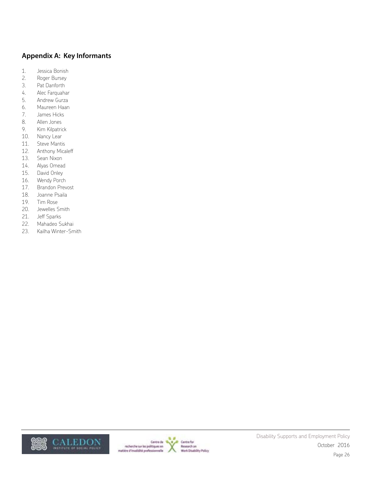# **Appendix A: Key Informants**

- 1. Jessica Bonish
- 2. Roger Bursey
- 3. Pat Danforth
- 4. Alec Farquahar
- 5. Andrew Gurza
- 6. Maureen Haan
- 7. James Hicks
- 8. Allen Jones
- 9. Kim Kilpatrick
- 10. Nancy Lear
- 11. Steve Mantis
- 12. Anthony Micaleff
- 13. Sean Nixon
- 14. Alyas Omead
- 15. David Onley
- 16. Wendy Porch
- 17. Brandon Prevost
- 18. Joanne Psaila
- 19. Tim Rose
- 20. Jewelles Smith
- 21. Jeff Sparks
- 22. Mahadeo Sukhai
- 23. Kailha Winter-Smith



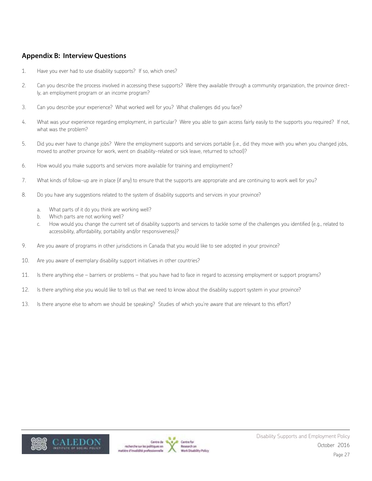# **Appendix B: Interview Questions**

- 1. Have you ever had to use disability supports? If so, which ones?
- 2. Can you describe the process involved in accessing these supports? Were they available through a community organization, the province directly, an employment program or an income program?
- 3. Can you describe your experience? What worked well for you? What challenges did you face?
- 4. What was your experience regarding employment, in particular? Were you able to gain access fairly easily to the supports you required? If not, what was the problem?
- 5. Did you ever have to change jobs? Were the employment supports and services portable (i.e., did they move with you when you changed jobs, moved to another province for work, went on disability-related or sick leave, returned to school)?
- 6. How would you make supports and services more available for training and employment?
- 7. What kinds of follow-up are in place (if any) to ensure that the supports are appropriate and are continuing to work well for you?
- 8. Do you have any suggestions related to the system of disability supports and services in your province?
	- a. What parts of it do you think are working well?
	- b. Which parts are not working well?
	- c. How would you change the current set of disability supports and services to tackle some of the challenges you identified (e.g., related to accessibility, affordability, portability and/or responsiveness)?
- 9. Are you aware of programs in other jurisdictions in Canada that you would like to see adopted in your province?
- 10. Are you aware of exemplary disability support initiatives in other countries?
- 11. Is there anything else barriers or problems that you have had to face in regard to accessing employment or support programs?
- 12. Is there anything else you would like to tell us that we need to know about the disability support system in your province?
- 13. Is there anyone else to whom we should be speaking? Studies of which you're aware that are relevant to this effort?



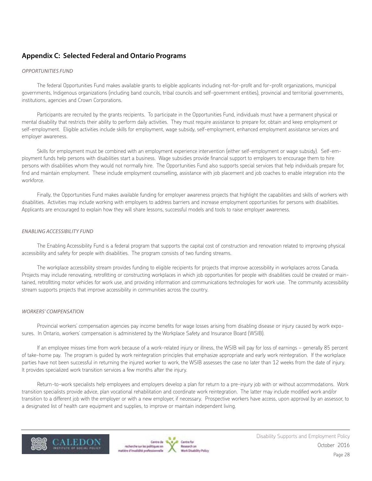# **Appendix C: Selected Federal and Ontario Programs**

#### *OPPORTUNITIES FUND*

The federal Opportunities Fund makes available grants to eligible applicants including not-for-profit and for-profit organizations, municipal governments, Indigenous organizations (including band councils, tribal councils and self-government entities), provincial and territorial governments, institutions, agencies and Crown Corporations.

Participants are recruited by the grants recipients. To participate in the Opportunities Fund, individuals must have a permanent physical or mental disability that restricts their ability to perform daily activities. They must require assistance to prepare for, obtain and keep employment or self-employment. Eligible activities include skills for employment, wage subsidy, self-employment, enhanced employment assistance services and employer awareness.

Skills for employment must be combined with an employment experience intervention (either self-employment or wage subsidy). Self-employment funds help persons with disabilities start a business. Wage subsidies provide financial support to employers to encourage them to hire persons with disabilities whom they would not normally hire. The Opportunities Fund also supports special services that help individuals prepare for, find and maintain employment. These include employment counselling, assistance with job placement and job coaches to enable integration into the workforce.

Finally, the Opportunities Fund makes available funding for employer awareness projects that highlight the capabilities and skills of workers with disabilities. Activities may include working with employers to address barriers and increase employment opportunities for persons with disabilities. Applicants are encouraged to explain how they will share lessons, successful models and tools to raise employer awareness.

#### *ENABLING ACCESSIBILITY FUND*

The Enabling Accessibility Fund is a federal program that supports the capital cost of construction and renovation related to improving physical accessibility and safety for people with disabilities. The program consists of two funding streams.

The workplace accessibility stream provides funding to eligible recipients for projects that improve accessibility in workplaces across Canada. Projects may include renovating, retrofitting or constructing workplaces in which job opportunities for people with disabilities could be created or maintained, retrofitting motor vehicles for work use, and providing information and communications technologies for work use. The community accessibility stream supports projects that improve accessibility in communities across the country.

#### *WORKERS' COMPENSATION*

Provincial workers' compensation agencies pay income benefits for wage losses arising from disabling disease or injury caused by work exposures. In Ontario, workers' compensation is administered by the Workplace Safety and Insurance Board (WSIB).

If an employee misses time from work because of a work-related injury or illness, the WSIB will pay for loss of earnings − generally 85 percent of take-home pay. The program is guided by work reintegration principles that emphasize appropriate and early work reintegration. If the workplace parties have not been successful in returning the injured worker to work, the WSIB assesses the case no later than 12 weeks from the date of injury. It provides specialized work transition services a few months after the injury.

Return-to-work specialists help employees and employers develop a plan for return to a pre-injury job with or without accommodations. Work transition specialists provide advice, plan vocational rehabilitation and coordinate work reintegration. The latter may include modified work and/or transition to a different job with the employer or with a new employer, if necessary. Prospective workers have access, upon approval by an assessor, to a designated list of health care equipment and supplies, to improve or maintain independent living.



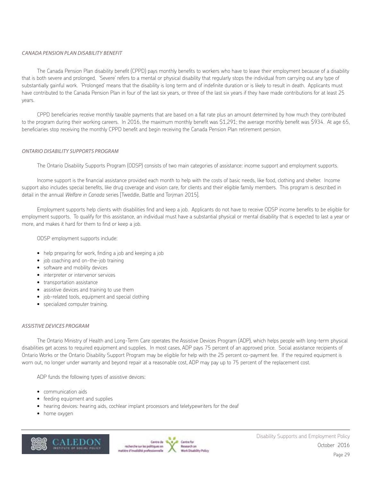## *CANADA PENSION PLAN DISABILITY BENEFIT*

The Canada Pension Plan disability benefit (CPPD) pays monthly benefits to workers who have to leave their employment because of a disability that is both severe and prolonged. 'Severe' refers to a mental or physical disability that regularly stops the individual from carrying out any type of substantially gainful work. 'Prolonged' means that the disability is long term and of indefinite duration or is likely to result in death. Applicants must have contributed to the Canada Pension Plan in four of the last six years, or three of the last six years if they have made contributions for at least 25 years.

CPPD beneficiaries receive monthly taxable payments that are based on a flat rate plus an amount determined by how much they contributed to the program during their working careers. In 2016, the maximum monthly benefit was \$1,291; the average monthly benefit was \$934. At age 65, beneficiaries stop receiving the monthly CPPD benefit and begin receiving the Canada Pension Plan retirement pension.

#### *ONTARIO DISABILITY SUPPORTS PROGRAM*

The Ontario Disability Supports Program (ODSP) consists of two main categories of assistance: income support and employment supports.

Income support is the financial assistance provided each month to help with the costs of basic needs, like food, clothing and shelter. Income support also includes special benefits, like drug coverage and vision care, for clients and their eligible family members. This program is described in detail in the annual *Welfare in Canada* series [Tweddle, Battle and Torjman 2015].

Employment supports help clients with disabilities find and keep a job. Applicants do not have to receive ODSP income benefits to be eligible for employment supports. To qualify for this assistance, an individual must have a substantial physical or mental disability that is expected to last a year or more, and makes it hard for them to find or keep a job.

ODSP employment supports include:

- help preparing for work, finding a job and keeping a job
- job coaching and on-the-job training
- software and mobility devices
- interpreter or intervenor services
- transportation assistance
- assistive devices and training to use them
- job-related tools, equipment and special clothing
- specialized computer training.

#### *ASSISTIVE DEVICES PROGRAM*

The Ontario Ministry of Health and Long-Term Care operates the Assistive Devices Program (ADP), which helps people with long-term physical disabilities get access to required equipment and supplies. In most cases, ADP pays 75 percent of an approved price. Social assistance recipients of Ontario Works or the Ontario Disability Support Program may be eligible for help with the 25 percent co-payment fee. If the required equipment is worn out, no longer under warranty and beyond repair at a reasonable cost, ADP may pay up to 75 percent of the replacement cost.

ADP funds the following types of assistive devices:

- communication aids
- feeding equipment and supplies
- hearing devices: hearing aids, cochlear implant processors and teletypewriters for the deaf
- home oxygen



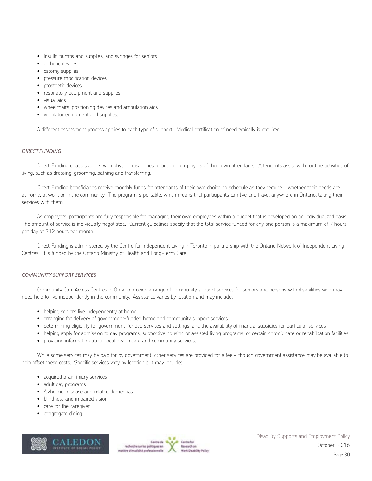- insulin pumps and supplies, and syringes for seniors
- orthotic devices
- ostomy supplies
- pressure modification devices
- prosthetic devices
- respiratory equipment and supplies
- visual aids
- wheelchairs, positioning devices and ambulation aids
- ventilator equipment and supplies.

A different assessment process applies to each type of support. Medical certification of need typically is required.

#### *DIRECT FUNDING*

Direct Funding enables adults with physical disabilities to become employers of their own attendants. Attendants assist with routine activities of living, such as dressing, grooming, bathing and transferring.

Direct Funding beneficiaries receive monthly funds for attendants of their own choice, to schedule as they require − whether their needs are at home, at work or in the community. The program is portable, which means that participants can live and travel anywhere in Ontario, taking their services with them.

As employers, participants are fully responsible for managing their own employees within a budget that is developed on an individualized basis. The amount of service is individually negotiated. Current guidelines specify that the total service funded for any one person is a maximum of 7 hours per day or 212 hours per month.

Direct Funding is administered by the Centre for Independent Living in Toronto in partnership with the Ontario Network of Independent Living Centres. It is funded by the Ontario Ministry of Health and Long-Term Care.

#### *COMMUNITY SUPPORT SERVICES*

Community Care Access Centres in Ontario provide a range of community support services for seniors and persons with disabilities who may need help to live independently in the community. Assistance varies by location and may include:

- helping seniors live independently at home
- arranging for delivery of government-funded home and community support services
- determining eligibility for government-funded services and settings, and the availability of financial subsidies for particular services
- helping apply for admission to day programs, supportive housing or assisted living programs, or certain chronic care or rehabilitation facilities
- providing information about local health care and community services.

While some services may be paid for by government, other services are provided for a fee − though government assistance may be available to help offset these costs. Specific services vary by location but may include:

- acquired brain injury services
- adult day programs
- Alzheimer disease and related dementias
- blindness and impaired vision
- care for the caregiver
- congregate dining